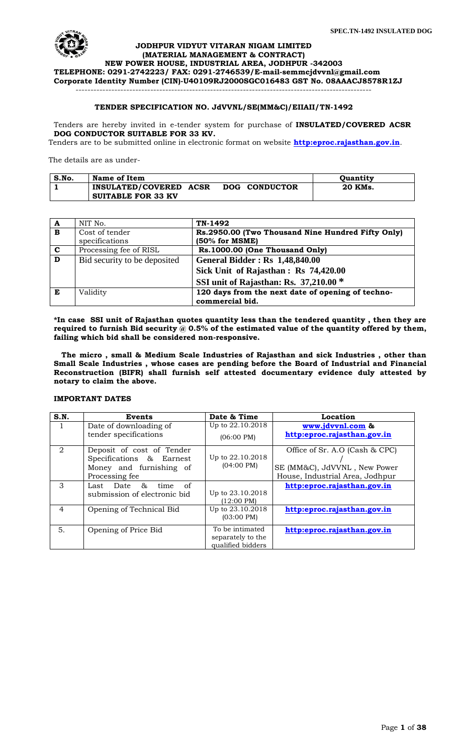

## **JODHPUR VIDYUT VITARAN NIGAM LIMITED (MATERIAL MANAGEMENT & CONTRACT)**

**NEW POWER HOUSE, INDUSTRIAL AREA, JODHPUR -342003 TELEPHONE: 0291-2742223/ FAX: 0291-2746539/E-mail[-semmcjdvvnl@gmail.com](mailto:semmcjdvvnl@gmail.com) Corporate Identity Number (CIN)-U40109RJ2000SGC016483 GST No. 08AAACJ8578R1ZJ**

# **TENDER SPECIFICATION NO. JdVVNL/SE(MM&C)/EIIAII/TN-1492**

---------------------------------------------------------------------------------------------------

Tenders are hereby invited in e-tender system for purchase of **INSULATED/COVERED ACSR DOG CONDUCTOR SUITABLE FOR 33 KV.** 

Tenders are to be submitted online in electronic format on website **[http:eproc.rajasthan.gov.in](http://www.eproc.rajasthan.gov.in/nicgep/app)**.

The details are as under-

| S.No. | Name of Item              |               | <b>Ouantity</b> |
|-------|---------------------------|---------------|-----------------|
|       | INSULATED/COVERED ACSR    | DOG CONDUCTOR | 20 KMs.         |
|       | <b>SUITABLE FOR 33 KV</b> |               |                 |

| A                       | NIT No.                      | TN-1492                                           |
|-------------------------|------------------------------|---------------------------------------------------|
| $\overline{B}$          | Cost of tender               | Rs.2950.00 (Two Thousand Nine Hundred Fifty Only) |
|                         | specifications               | $(50\% \text{ for MSME})$                         |
| $\mathbf{C}$            | Processing fee of RISL       | Rs.1000.00 (One Thousand Only)                    |
| $\overline{\mathbf{D}}$ | Bid security to be deposited | <b>General Bidder: Rs 1,48,840.00</b>             |
|                         |                              | Sick Unit of Rajasthan: Rs 74,420.00              |
|                         |                              | SSI unit of Rajasthan: Rs. 37,210.00 *            |
| E                       | Validity                     | 120 days from the next date of opening of techno- |
|                         |                              | commercial bid.                                   |

**\*In case SSI unit of Rajasthan quotes quantity less than the tendered quantity , then they are required to furnish Bid security @ 0.5% of the estimated value of the quantity offered by them, failing which bid shall be considered non-responsive.**

 **The micro , small & Medium Scale Industries of Rajasthan and sick Industries , other than Small Scale Industries , whose cases are pending before the Board of Industrial and Financial Reconstruction (BIFR) shall furnish self attested documentary evidence duly attested by notary to claim the above.**

#### **IMPORTANT DATES**

| S.N.           | Events                       | Date & Time          | Location                        |
|----------------|------------------------------|----------------------|---------------------------------|
|                | Date of downloading of       | Up to 22.10.2018     | www.jdvvnl.com &                |
|                | tender specifications        | $(06:00 \text{ PM})$ | http:eproc.rajasthan.gov.in     |
| $\mathfrak{D}$ | Deposit of cost of Tender    |                      | Office of Sr. A.O (Cash & CPC)  |
|                | Specifications & Earnest     | Up to 22.10.2018     |                                 |
|                | Money and furnishing of      | $(04:00 \text{ PM})$ | SE (MM&C), JdVVNL, New Power    |
|                | Processing fee               |                      | House, Industrial Area, Jodhpur |
| 3              | &<br>Last Date<br>of<br>time |                      | http:eproc.rajasthan.gov.in     |
|                | submission of electronic bid | Up to 23.10.2018     |                                 |
|                |                              | $(12:00 \text{ PM})$ |                                 |
| $\overline{4}$ | Opening of Technical Bid     | Up to 23.10.2018     | http:eproc.rajasthan.gov.in     |
|                |                              | $(03:00 \text{ PM})$ |                                 |
| 5.             | Opening of Price Bid         | To be intimated      | http:eproc.rajasthan.gov.in     |
|                |                              | separately to the    |                                 |
|                |                              | qualified bidders    |                                 |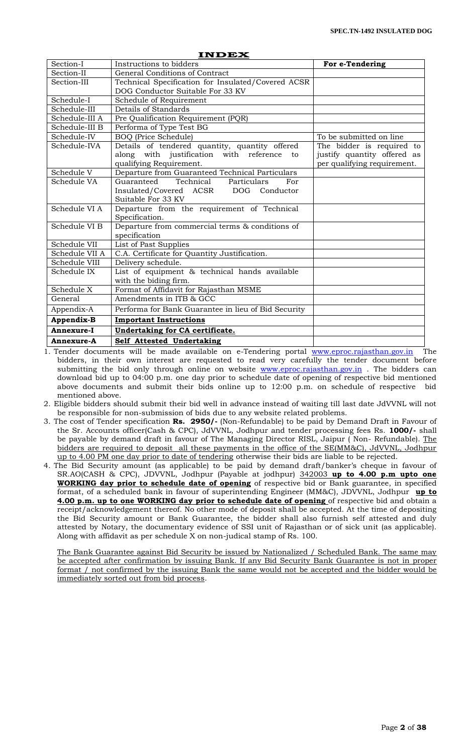|                | <b>INDEX</b>                                                    |                             |
|----------------|-----------------------------------------------------------------|-----------------------------|
| Section-I      | Instructions to bidders                                         | For e-Tendering             |
| Section-II     | General Conditions of Contract                                  |                             |
| Section-III    | Technical Specification for Insulated/Covered ACSR              |                             |
|                | DOG Conductor Suitable For 33 KV                                |                             |
| Schedule-I     | Schedule of Requirement                                         |                             |
| Schedule-III   | Details of Standards                                            |                             |
| Schedule-III A | Pre Qualification Requirement (PQR)                             |                             |
| Schedule-III B | Performa of Type Test BG                                        |                             |
| Schedule-IV    | <b>BOQ</b> (Price Schedule)                                     | To be submitted on line     |
| Schedule-IVA   | Details of tendered quantity, quantity offered                  | The bidder is required to   |
|                | along with justification with reference<br>to                   | justify quantity offered as |
|                | qualifying Requirement.                                         | per qualifying requirement. |
| Schedule V     | Departure from Guaranteed Technical Particulars                 |                             |
| Schedule VA    | Technical Particulars<br>Guaranteed<br>For                      |                             |
|                | Insulated/Covered ACSR DOG Conductor                            |                             |
|                | Suitable For 33 KV                                              |                             |
| Schedule VI A  | Departure from the requirement of Technical                     |                             |
|                | Specification.                                                  |                             |
| Schedule VI B  | Departure from commercial terms & conditions of                 |                             |
|                | specification                                                   |                             |
| Schedule VII   | List of Past Supplies                                           |                             |
| Schedule VII A | C.A. Certificate for Quantity Justification.                    |                             |
| Schedule VIII  | Delivery schedule.                                              |                             |
| Schedule IX    | List of equipment & technical hands available                   |                             |
| Schedule X     | with the biding firm.<br>Format of Affidavit for Rajasthan MSME |                             |
| General        | Amendments in ITB & GCC                                         |                             |
|                |                                                                 |                             |
| Appendix-A     | Performa for Bank Guarantee in lieu of Bid Security             |                             |
| Appendix-B     | <b>Important Instructions</b>                                   |                             |
| Annexure-I     | Undertaking for CA certificate.                                 |                             |
| Annexure-A     | Self Attested Undertaking                                       |                             |

1. Tender documents will be made available on e-Tendering portal [www.eproc.rajasthan.gov.in](http://www.eproc.rajasthan.gov.in/) The bidders, in their own interest are requested to read very carefully the tender document before submitting the bid only through online on website [www.eproc.rajasthan.gov.in](http://www.eproc.rajasthan.gov.in/) . The bidders can download bid up to 04:00 p.m. one day prior to schedule date of opening of respective bid mentioned above documents and submit their bids online up to 12:00 p.m. on schedule of respective bid mentioned above.

2. Eligible bidders should submit their bid well in advance instead of waiting till last date JdVVNL will not be responsible for non-submission of bids due to any website related problems.

3. The cost of Tender specification **Rs. 2950/-** (Non-Refundable) to be paid by Demand Draft in Favour of the Sr. Accounts officer(Cash & CPC), JdVVNL, Jodhpur and tender processing fees Rs. **1000/-** shall be payable by demand draft in favour of The Managing Director RISL, Jaipur ( Non- Refundable). The bidders are required to deposit all these payments in the office of the SE(MM&C), JdVVNL, Jodhpur up to 4.00 PM one day prior to date of tendering otherwise their bids are liable to be rejected.

4. The Bid Security amount (as applicable) to be paid by demand draft/banker's cheque in favour of SR.AO(CASH & CPC), JDVVNL, Jodhpur (Payable at jodhpur) 342003 **up to 4.00 p.m upto one WORKING day prior to schedule date of opening** of respective bid or Bank guarantee, in specified format, of a scheduled bank in favour of superintending Engineer (MM&C), JDVVNL, Jodhpur **up to 4.00 p.m. up to one WORKING day prior to schedule date of opening** of respective bid and obtain a receipt/acknowledgement thereof. No other mode of deposit shall be accepted. At the time of depositing the Bid Security amount or Bank Guarantee, the bidder shall also furnish self attested and duly attested by Notary, the documentary evidence of SSI unit of Rajasthan or of sick unit (as applicable). Along with affidavit as per schedule X on non-judical stamp of Rs. 100.

The Bank Guarantee against Bid Security be issued by Nationalized / Scheduled Bank. The same may be accepted after confirmation by issuing Bank. If any Bid Security Bank Guarantee is not in proper format / not confirmed by the issuing Bank the same would not be accepted and the bidder would be immediately sorted out from bid process.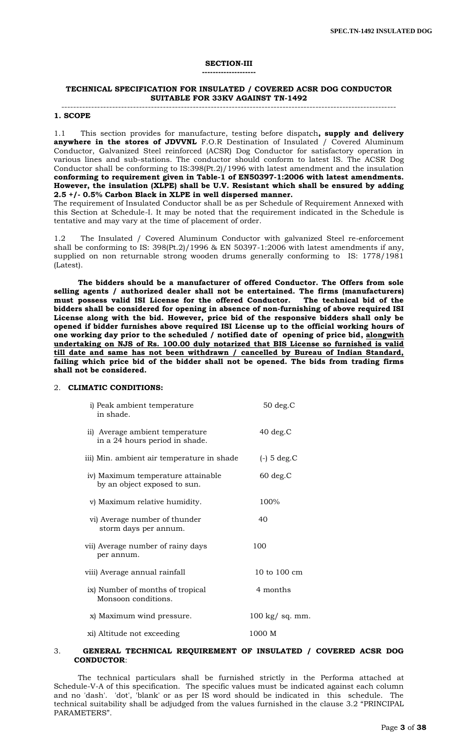# **SECTION-III**

**--------------------**

#### **TECHNICAL SPECIFICATION FOR INSULATED / COVERED ACSR DOG CONDUCTOR SUITABLE FOR 33KV AGAINST TN-1492**

#### ----------------------------------------------------------------------------------------------------------------

## **1. SCOPE**

1.1 This section provides for manufacture, testing before dispatch**, supply and delivery anywhere in the stores of JDVVNL** F.O.R Destination of Insulated / Covered Aluminum Conductor, Galvanized Steel reinforced (ACSR) Dog Conductor for satisfactory operation in various lines and sub-stations. The conductor should conform to latest IS. The ACSR Dog Conductor shall be conforming to IS:398(Pt.2)/1996 with latest amendment and the insulation **conforming to requirement given in Table-1 of EN50397-1:2006 with latest amendments. However, the insulation (XLPE) shall be U.V. Resistant which shall be ensured by adding 2.5 +/- 0.5% Carbon Black in XLPE in well dispersed manner.** 

The requirement of Insulated Conductor shall be as per Schedule of Requirement Annexed with this Section at Schedule-I. It may be noted that the requirement indicated in the Schedule is tentative and may vary at the time of placement of order.

1.2 The Insulated / Covered Aluminum Conductor with galvanized Steel re-enforcement shall be conforming to IS: 398(Pt.2)/1996 & EN 50397-1:2006 with latest amendments if any, supplied on non returnable strong wooden drums generally conforming to IS: 1778/1981 (Latest).

 **The bidders should be a manufacturer of offered Conductor. The Offers from sole selling agents / authorized dealer shall not be entertained. The firms (manufacturers) must possess valid ISI License for the offered Conductor. The technical bid of the bidders shall be considered for opening in absence of non-furnishing of above required ISI License along with the bid. However, price bid of the responsive bidders shall only be opened if bidder furnishes above required ISI License up to the official working hours of one working day prior to the scheduled / notified date of opening of price bid, alongwith undertaking on NJS of Rs. 100.00 duly notarized that BIS License so furnished is valid till date and same has not been withdrawn / cancelled by Bureau of Indian Standard, failing which price bid of the bidder shall not be opened. The bids from trading firms shall not be considered.**

#### 2. **CLIMATIC CONDITIONS:**

| i) Peak ambient temperature<br>in shade.                           | $50$ deg. $C$   |
|--------------------------------------------------------------------|-----------------|
| ii) Average ambient temperature<br>in a 24 hours period in shade.  | $40 \deg.C$     |
| iii) Min. ambient air temperature in shade                         | $(-)$ 5 deg. C  |
| iv) Maximum temperature attainable<br>by an object exposed to sun. | $60 \deg.C$     |
| v) Maximum relative humidity.                                      | 100%            |
| vi) Average number of thunder<br>storm days per annum.             | 40              |
| vii) Average number of rainy days<br>per annum.                    | 100             |
| viii) Average annual rainfall                                      | 10 to 100 cm    |
| ix) Number of months of tropical<br>Monsoon conditions.            | 4 months        |
| x) Maximum wind pressure.                                          | 100 kg/ sq. mm. |
| xi) Altitude not exceeding                                         | 1000 M          |

#### 3. **GENERAL TECHNICAL REQUIREMENT OF INSULATED / COVERED ACSR DOG CONDUCTOR**:

 The technical particulars shall be furnished strictly in the Performa attached at Schedule-V-A of this specification. The specific values must be indicated against each column and no 'dash'. 'dot', 'blank' or as per IS word should be indicated in this schedule. The technical suitability shall be adjudged from the values furnished in the clause 3.2 "PRINCIPAL PARAMETERS".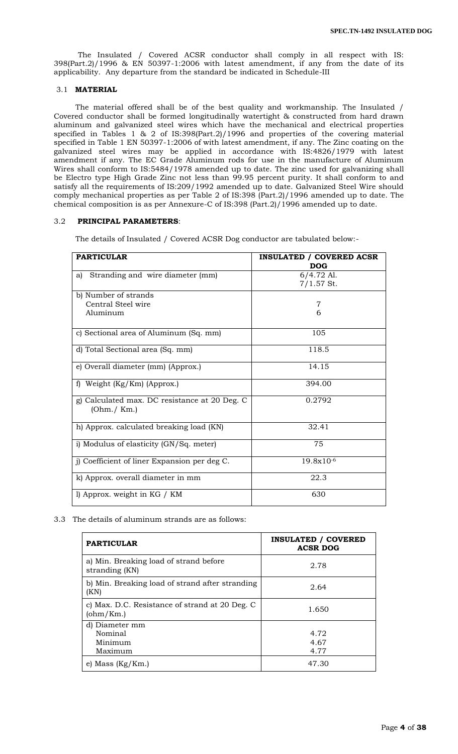The Insulated / Covered ACSR conductor shall comply in all respect with IS: 398(Part.2)/1996 & EN 50397-1:2006 with latest amendment, if any from the date of its applicability. Any departure from the standard be indicated in Schedule-III

## 3.1 **MATERIAL**

 The material offered shall be of the best quality and workmanship. The Insulated / Covered conductor shall be formed longitudinally watertight & constructed from hard drawn aluminum and galvanized steel wires which have the mechanical and electrical properties specified in Tables 1 & 2 of IS:398(Part.2)/1996 and properties of the covering material specified in Table 1 EN 50397-1:2006 of with latest amendment, if any. The Zinc coating on the galvanized steel wires may be applied in accordance with IS:4826/1979 with latest amendment if any. The EC Grade Aluminum rods for use in the manufacture of Aluminum Wires shall conform to IS:5484/1978 amended up to date. The zinc used for galvanizing shall be Electro type High Grade Zinc not less than 99.95 percent purity. It shall conform to and satisfy all the requirements of IS:209/1992 amended up to date. Galvanized Steel Wire should comply mechanical properties as per Table 2 of IS:398 (Part.2)/1996 amended up to date. The chemical composition is as per Annexure-C of IS:398 (Part.2)/1996 amended up to date.

### 3.2 **PRINCIPAL PARAMETERS**:

The details of Insulated / Covered ACSR Dog conductor are tabulated below:-

| <b>PARTICULAR</b>                                            | <b>INSULATED / COVERED ACSR</b><br><b>DOG</b> |
|--------------------------------------------------------------|-----------------------------------------------|
| Stranding and wire diameter (mm)<br>a)                       | 6/4.72 Al.<br>$7/1.57$ St.                    |
| b) Number of strands<br>Central Steel wire<br>Aluminum       | 7<br>6                                        |
| c) Sectional area of Aluminum (Sq. mm)                       | 105                                           |
| d) Total Sectional area (Sq. mm)                             | 118.5                                         |
| e) Overall diameter (mm) (Approx.)                           | 14.15                                         |
| f) Weight $(Kg/Km)$ (Approx.)                                | 394.00                                        |
| g) Calculated max. DC resistance at 20 Deg. C<br>(Ohm./ Km.) | 0.2792                                        |
| h) Approx. calculated breaking load (KN)                     | 32.41                                         |
| i) Modulus of elasticity (GN/Sq. meter)                      | 75                                            |
| j) Coefficient of liner Expansion per deg C.                 | 19.8x10-6                                     |
| k) Approx. overall diameter in mm                            | 22.3                                          |
| l) Approx. weight in KG / KM                                 | 630                                           |

#### 3.3 The details of aluminum strands are as follows:

| <b>PARTICULAR</b>                                           | <b>INSULATED / COVERED</b><br><b>ACSR DOG</b> |
|-------------------------------------------------------------|-----------------------------------------------|
| a) Min. Breaking load of strand before<br>stranding (KN)    | 2.78                                          |
| b) Min. Breaking load of strand after stranding<br>(KN)     | 2.64                                          |
| c) Max. D.C. Resistance of strand at 20 Deg. C<br>(ohm/Km.) | 1.650                                         |
| d) Diameter mm<br>Nominal<br>Minimum<br>Maximum             | 4.72<br>4.67<br>4.77                          |
| e) Mass (Kg/Km.)                                            | 47.30                                         |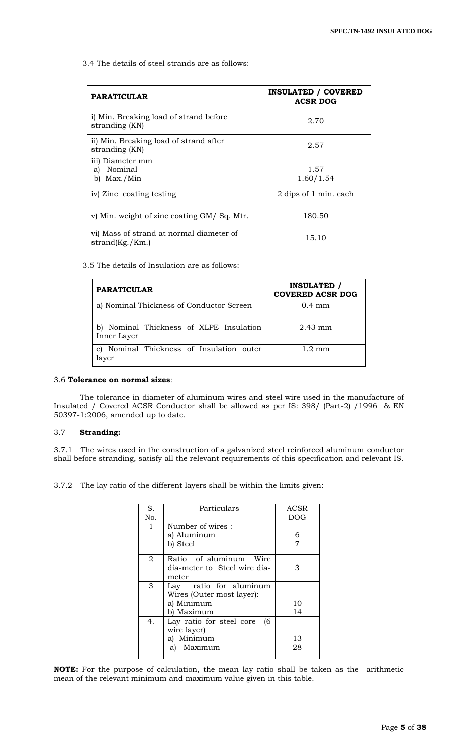3.4 The details of steel strands are as follows:

| <b>PARATICULAR</b>                                          | <b>INSULATED / COVERED</b><br><b>ACSR DOG</b> |
|-------------------------------------------------------------|-----------------------------------------------|
| i) Min. Breaking load of strand before<br>stranding (KN)    | 2.70                                          |
| ii) Min. Breaking load of strand after<br>stranding (KN)    | 2.57                                          |
| iii) Diameter mm<br>Nominal<br>aì<br>b) Max./Min            | 1.57<br>1.60/1.54                             |
| iv) Zinc coating testing                                    | 2 dips of 1 min. each                         |
| v) Min. weight of zinc coating GM/Sq. Mtr.                  | 180.50                                        |
| vi) Mass of strand at normal diameter of<br>strand(Kg./Km.) | 15.10                                         |

3.5 The details of Insulation are as follows:

| <b>PARATICULAR</b>                                  | <b>INSULATED /</b><br><b>COVERED ACSR DOG</b> |
|-----------------------------------------------------|-----------------------------------------------|
| a) Nominal Thickness of Conductor Screen            | $0.4 \text{ mm}$                              |
| Nominal Thickness of XLPE Insulation<br>Inner Layer | $2.43$ mm                                     |
| Nominal Thickness of Insulation outer<br>layer      | $1.2 \text{ mm}$                              |

## 3.6 **Tolerance on normal sizes**:

 The tolerance in diameter of aluminum wires and steel wire used in the manufacture of Insulated / Covered ACSR Conductor shall be allowed as per IS: 398/ (Part-2) /1996 & EN 50397-1:2006, amended up to date.

## 3.7 **Stranding:**

3.7.1 The wires used in the construction of a galvanized steel reinforced aluminum conductor shall before stranding, satisfy all the relevant requirements of this specification and relevant IS.

3.7.2 The lay ratio of the different layers shall be within the limits given:

| S.           | Particulars                    | ACSR       |
|--------------|--------------------------------|------------|
| No.          |                                | <b>DOG</b> |
| $\mathbf{1}$ | Number of wires:               |            |
|              | a) Aluminum                    | 6          |
|              | b) Steel                       | 7          |
| 2            | Ratio of aluminum Wire         |            |
|              | dia-meter to Steel wire dia-   |            |
|              | meter                          |            |
| 3            | Lay ratio for aluminum         |            |
|              | Wires (Outer most layer):      |            |
|              | a) Minimum                     | 10         |
|              | b) Maximum                     | 14         |
| 4.           | Lay ratio for steel core<br>16 |            |
|              | wire layer)                    |            |
|              | a) Minimum                     | 13         |
|              | Maximum<br>a)                  | 28         |
|              |                                |            |

**NOTE:** For the purpose of calculation, the mean lay ratio shall be taken as the arithmetic mean of the relevant minimum and maximum value given in this table.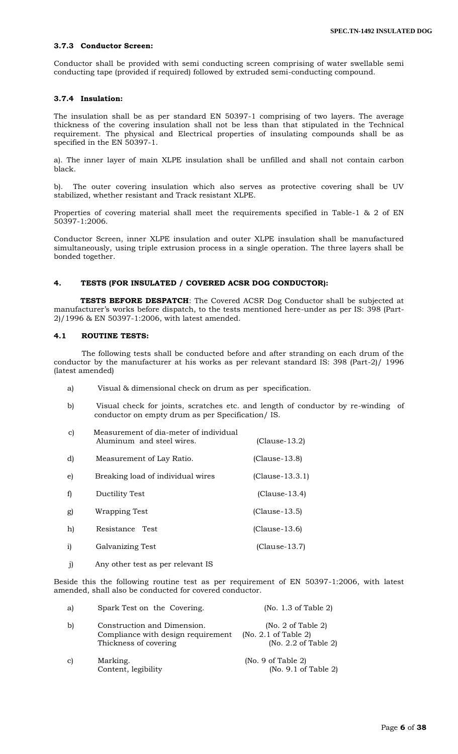### **3.7.3 Conductor Screen:**

Conductor shall be provided with semi conducting screen comprising of water swellable semi conducting tape (provided if required) followed by extruded semi-conducting compound.

## **3.7.4 Insulation:**

The insulation shall be as per standard EN 50397-1 comprising of two layers. The average thickness of the covering insulation shall not be less than that stipulated in the Technical requirement. The physical and Electrical properties of insulating compounds shall be as specified in the EN 50397-1.

a). The inner layer of main XLPE insulation shall be unfilled and shall not contain carbon black.

b). The outer covering insulation which also serves as protective covering shall be UV stabilized, whether resistant and Track resistant XLPE.

Properties of covering material shall meet the requirements specified in Table-1 & 2 of EN 50397-1:2006.

Conductor Screen, inner XLPE insulation and outer XLPE insulation shall be manufactured simultaneously, using triple extrusion process in a single operation. The three layers shall be bonded together.

## **4. TESTS (FOR INSULATED / COVERED ACSR DOG CONDUCTOR):**

**TESTS BEFORE DESPATCH**: The Covered ACSR Dog Conductor shall be subjected at manufacturer's works before dispatch, to the tests mentioned here-under as per IS: 398 (Part-2)/1996 & EN 50397-1:2006, with latest amended.

## **4.1 ROUTINE TESTS:**

The following tests shall be conducted before and after stranding on each drum of the conductor by the manufacturer at his works as per relevant standard IS: 398 (Part-2)/ 1996 (latest amended)

- a) Visual & dimensional check on drum as per specification.
- b) Visual check for joints, scratches etc. and length of conductor by re-winding of conductor on empty drum as per Specification/ IS.

| C) | Measurement of dia-meter of individual<br>Aluminum and steel wires. | $(Clause-13.2)$   |
|----|---------------------------------------------------------------------|-------------------|
| d) | Measurement of Lay Ratio.                                           | $(Clause-13.8)$   |
| e) | Breaking load of individual wires                                   | $(Clause-13.3.1)$ |
| f) | Ductility Test                                                      | $(Clause-13.4)$   |
| g) | Wrapping Test                                                       | $(Clause-13.5)$   |
| h) | Resistance Test                                                     | $(Clause-13.6)$   |
| i) | Galvanizing Test                                                    | $(Clause-13.7)$   |
|    |                                                                     |                   |

j) Any other test as per relevant IS

Beside this the following routine test as per requirement of EN 50397-1:2006, with latest amended, shall also be conducted for covered conductor.

| a) | Spark Test on the Covering.                                                                | (No. 1.3 of Table 2)                                               |
|----|--------------------------------------------------------------------------------------------|--------------------------------------------------------------------|
| b) | Construction and Dimension.<br>Compliance with design requirement<br>Thickness of covering | (No. 2 of Table 2)<br>(No. 2.1 of Table 2)<br>(No. 2.2 of Table 2) |
| c) | Marking.<br>Content, legibility                                                            | (No. 9 of Table 2)<br>(No. 9.1 of Table 2)                         |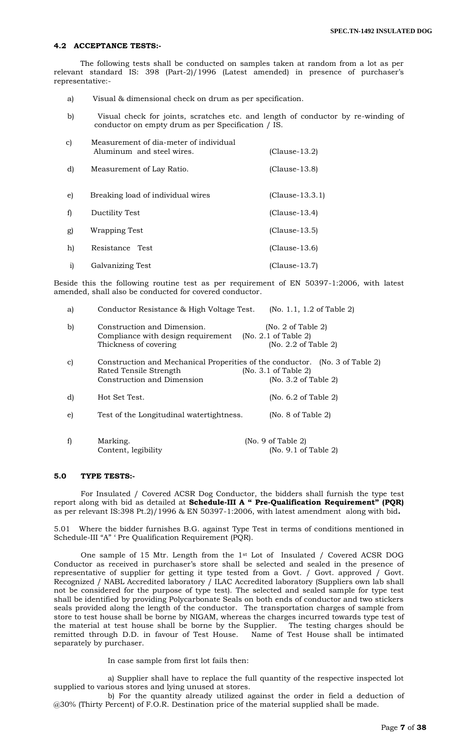#### **4.2 ACCEPTANCE TESTS:-**

The following tests shall be conducted on samples taken at random from a lot as per relevant standard IS: 398 (Part-2)/1996 (Latest amended) in presence of purchaser's representative:-

- a) Visual & dimensional check on drum as per specification.
- b) Visual check for joints, scratches etc. and length of conductor by re-winding of conductor on empty drum as per Specification / IS.

| C) | Measurement of dia-meter of individual<br>Aluminum and steel wires. | $(Clause-13.2)$   |  |  |
|----|---------------------------------------------------------------------|-------------------|--|--|
| d) | Measurement of Lay Ratio.                                           | $(Clause-13.8)$   |  |  |
| e) | Breaking load of individual wires                                   | $(Clause-13.3.1)$ |  |  |
| f) | Ductility Test                                                      | $(Clause-13.4)$   |  |  |
| g) | Wrapping Test                                                       | $(Clause-13.5)$   |  |  |
| h) | Resistance<br>Test                                                  | $(Clause-13.6)$   |  |  |
| i) | Galvanizing Test                                                    | $(Clause-13.7)$   |  |  |

Beside this the following routine test as per requirement of EN 50397-1:2006, with latest amended, shall also be conducted for covered conductor.

| a) | Conductor Resistance & High Voltage Test.                                                                                            | (No. 1.1, 1.2 of Table 2)                                          |  |
|----|--------------------------------------------------------------------------------------------------------------------------------------|--------------------------------------------------------------------|--|
| b) | Construction and Dimension.<br>Compliance with design requirement<br>Thickness of covering                                           | (No. 2 of Table 2)<br>(No. 2.1 of Table 2)<br>(No. 2.2 of Table 2) |  |
| C) | Construction and Mechanical Properities of the conductor. (No. 3 of Table 2)<br>Rated Tensile Strength<br>Construction and Dimension | (No. 3.1 of Table 2)<br>(No. 3.2 of Table 2)                       |  |
| d) | Hot Set Test.                                                                                                                        | (No. 6.2 of Table 2)                                               |  |
| e) | Test of the Longitudinal watertightness.                                                                                             | (No. 8 of Table 2)                                                 |  |
| f) | Marking.<br>Content, legibility                                                                                                      | (No. 9 of Table 2)<br>(No. 9.1 of Table 2)                         |  |

#### **5.0 TYPE TESTS:-**

For Insulated / Covered ACSR Dog Conductor, the bidders shall furnish the type test report along with bid as detailed at **Schedule-III A " Pre-Qualification Requirement" (PQR)** as per relevant IS:398 Pt.2)/1996 & EN 50397-1:2006, with latest amendment along with bid**.**

5.01 Where the bidder furnishes B.G. against Type Test in terms of conditions mentioned in Schedule-III "A" ' Pre Qualification Requirement (PQR).

One sample of 15 Mtr. Length from the 1st Lot of Insulated / Covered ACSR DOG Conductor as received in purchaser's store shall be selected and sealed in the presence of representative of supplier for getting it type tested from a Govt. / Govt. approved / Govt. Recognized / NABL Accredited laboratory / ILAC Accredited laboratory (Suppliers own lab shall not be considered for the purpose of type test). The selected and sealed sample for type test shall be identified by providing Polycarbonate Seals on both ends of conductor and two stickers seals provided along the length of the conductor. The transportation charges of sample from store to test house shall be borne by NIGAM, whereas the charges incurred towards type test of the material at test house shall be borne by the Supplier. The testing charges should be remitted through D.D. in favour of Test House. separately by purchaser.

In case sample from first lot fails then:

a) Supplier shall have to replace the full quantity of the respective inspected lot supplied to various stores and lying unused at stores.

b) For the quantity already utilized against the order in field a deduction of @30% (Thirty Percent) of F.O.R. Destination price of the material supplied shall be made.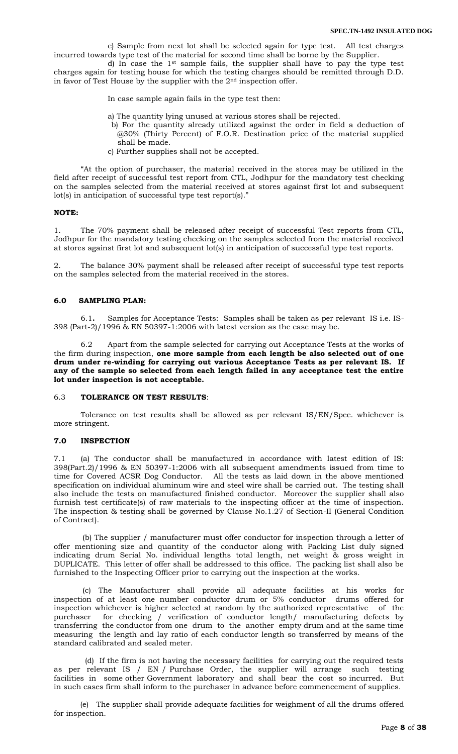c) Sample from next lot shall be selected again for type test. All test charges incurred towards type test of the material for second time shall be borne by the Supplier.

d) In case the 1st sample fails, the supplier shall have to pay the type test charges again for testing house for which the testing charges should be remitted through D.D. in favor of Test House by the supplier with the  $2<sup>nd</sup>$  inspection offer.

In case sample again fails in the type test then:

- a) The quantity lying unused at various stores shall be rejected.
- b) For the quantity already utilized against the order in field a deduction of @30% (Thirty Percent) of F.O.R. Destination price of the material supplied shall be made.
- c) Further supplies shall not be accepted.

"At the option of purchaser, the material received in the stores may be utilized in the field after receipt of successful test report from CTL, Jodhpur for the mandatory test checking on the samples selected from the material received at stores against first lot and subsequent lot(s) in anticipation of successful type test report(s)."

#### **NOTE:**

1. The 70% payment shall be released after receipt of successful Test reports from CTL, Jodhpur for the mandatory testing checking on the samples selected from the material received at stores against first lot and subsequent lot(s) in anticipation of successful type test reports.

2. The balance 30% payment shall be released after receipt of successful type test reports on the samples selected from the material received in the stores.

#### **6.0 SAMPLING PLAN:**

6.1**.** Samples for Acceptance Tests: Samples shall be taken as per relevant IS i.e. IS-398 (Part-2)/1996 & EN 50397-1:2006 with latest version as the case may be.

6.2 Apart from the sample selected for carrying out Acceptance Tests at the works of the firm during inspection, **one more sample from each length be also selected out of one drum under re-winding for carrying out various Acceptance Tests as per relevant IS. If any of the sample so selected from each length failed in any acceptance test the entire lot under inspection is not acceptable.**

#### 6.3 **TOLERANCE ON TEST RESULTS**:

Tolerance on test results shall be allowed as per relevant IS/EN/Spec. whichever is more stringent.

## **7.0 INSPECTION**

7.1 (a) The conductor shall be manufactured in accordance with latest edition of IS: 398(Part.2)/1996 & EN 50397-1:2006 with all subsequent amendments issued from time to time for Covered ACSR Dog Conductor. All the tests as laid down in the above mentioned specification on individual aluminum wire and steel wire shall be carried out. The testing shall also include the tests on manufactured finished conductor. Moreover the supplier shall also furnish test certificate(s) of raw materials to the inspecting officer at the time of inspection. The inspection & testing shall be governed by Clause No.1.27 of Section-II (General Condition of Contract).

 (b) The supplier / manufacturer must offer conductor for inspection through a letter of offer mentioning size and quantity of the conductor along with Packing List duly signed indicating drum Serial No. individual lengths total length, net weight & gross weight in DUPLICATE. This letter of offer shall be addressed to this office. The packing list shall also be furnished to the Inspecting Officer prior to carrying out the inspection at the works.

 (c) The Manufacturer shall provide all adequate facilities at his works for inspection of at least one number conductor drum or 5% conductor drums offered for inspection whichever is higher selected at random by the authorized representative of the purchaser for checking / verification of conductor length/ manufacturing defects by transferring the conductor from one drum to the another empty drum and at the same time measuring the length and lay ratio of each conductor length so transferred by means of the standard calibrated and sealed meter.

 (d) If the firm is not having the necessary facilities for carrying out the required tests as per relevant IS / EN / Purchase Order, the supplier will arrange such testing facilities in some other Government laboratory and shall bear the cost so incurred. But in such cases firm shall inform to the purchaser in advance before commencement of supplies.

 (e) The supplier shall provide adequate facilities for weighment of all the drums offered for inspection.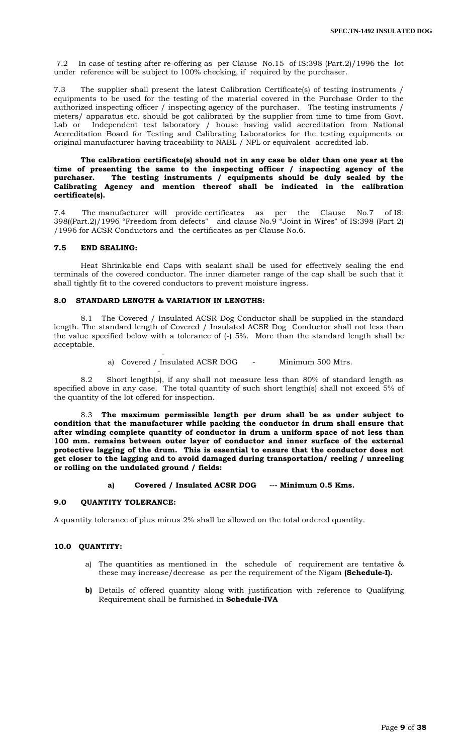7.2 In case of testing after re-offering as per Clause No.15 of IS:398 (Part.2)/1996 the lot under reference will be subject to 100% checking, if required by the purchaser.

7.3 The supplier shall present the latest Calibration Certificate(s) of testing instruments / equipments to be used for the testing of the material covered in the Purchase Order to the authorized inspecting officer / inspecting agency of the purchaser. The testing instruments / meters/ apparatus etc. should be got calibrated by the supplier from time to time from Govt. Lab or Independent test laboratory / house having valid accreditation from National Accreditation Board for Testing and Calibrating Laboratories for the testing equipments or original manufacturer having traceability to NABL / NPL or equivalent accredited lab.

**The calibration certificate(s) should not in any case be older than one year at the**  time of presenting the same to the inspecting officer / inspecting agency of the purchaser. The testing instruments / equipments should be duly sealed by the The testing instruments / equipments should be duly sealed by the **Calibrating Agency and mention thereof shall be indicated in the calibration certificate(s).**

7.4 The manufacturer will provide certificates as per the Clause No.7 of IS: 398((Part.2)/1996 "Freedom from defects" and clause No.9 "Joint in Wires" of IS:398 (Part 2) /1996 for ACSR Conductors and the certificates as per Clause No.6.

## **7.5 END SEALING:**

Heat Shrinkable end Caps with sealant shall be used for effectively sealing the end terminals of the covered conductor. The inner diameter range of the cap shall be such that it shall tightly fit to the covered conductors to prevent moisture ingress.

## **8.0 STANDARD LENGTH & VARIATION IN LENGTHS:**

-

 $\sim$  -  $\sim$   $\sim$   $\sim$ 

8.1 The Covered / Insulated ACSR Dog Conductor shall be supplied in the standard length. The standard length of Covered / Insulated ACSR Dog Conductor shall not less than the value specified below with a tolerance of (-) 5%. More than the standard length shall be acceptable.

a) Covered / Insulated ACSR DOG - Minimum 500 Mtrs.

8.2 Short length(s), if any shall not measure less than 80% of standard length as specified above in any case. The total quantity of such short length(s) shall not exceed 5% of the quantity of the lot offered for inspection.

8.3 **The maximum permissible length per drum shall be as under subject to condition that the manufacturer while packing the conductor in drum shall ensure that after winding complete quantity of conductor in drum a uniform space of not less than 100 mm. remains between outer layer of conductor and inner surface of the external protective lagging of the drum. This is essential to ensure that the conductor does not get closer to the lagging and to avoid damaged during transportation/ reeling / unreeling or rolling on the undulated ground / fields:**

## **a) Covered / Insulated ACSR DOG --- Minimum 0.5 Kms.**

#### **9.0 QUANTITY TOLERANCE:**

A quantity tolerance of plus minus 2% shall be allowed on the total ordered quantity.

## **10.0 QUANTITY:**

- a) The quantities as mentioned in the schedule of requirement are tentative & these may increase/decrease as per the requirement of the Nigam **(Schedule-I).**
- **b)** Details of offered quantity along with justification with reference to Qualifying Requirement shall be furnished in **Schedule-IVA**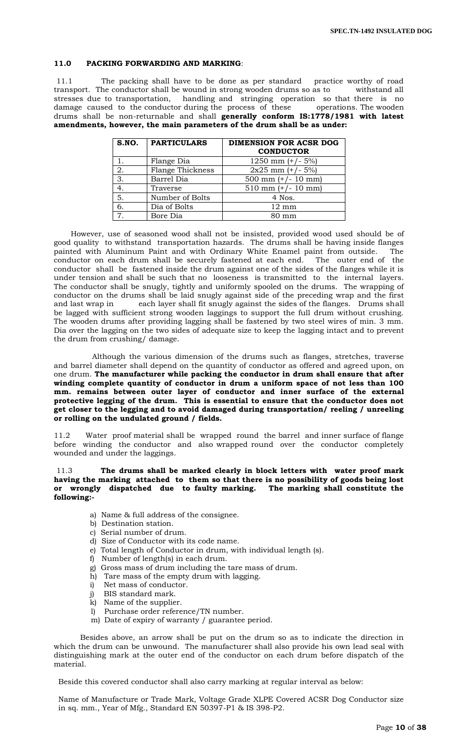## **11.0 PACKING FORWARDING AND MARKING**:

11.1 The packing shall have to be done as per standard practice worthy of road transport. The conductor shall be wound in strong wooden drums so as to withstand all stresses due to transportation, handling and stringing operation so that there is no damage caused to the conductor during the process of these operations. The wooden drums shall be non-returnable and shall **generally conform IS:1778/1981 with latest amendments, however, the main parameters of the drum shall be as under:**

| S.NO.          | <b>PARTICULARS</b>      | <b>DIMENSION FOR ACSR DOG</b><br><b>CONDUCTOR</b> |
|----------------|-------------------------|---------------------------------------------------|
|                | Flange Dia              | 1250 mm $(+/- 5%)$                                |
| 2.             | <b>Flange Thickness</b> | $2x25$ mm $(+/- 5%)$                              |
| 3.             | Barrel Dia              | 500 mm $(+/- 10$ mm)                              |
| 4.             | Traverse                | $510$ mm $(+/- 10$ mm)                            |
| 5.             | Number of Bolts         | 4 Nos.                                            |
| 6.             | Dia of Bolts            | $12 \text{ mm}$                                   |
| $\overline{7}$ | Bore Dia                | $80 \text{ mm}$                                   |

 However, use of seasoned wood shall not be insisted, provided wood used should be of good quality to withstand transportation hazards. The drums shall be having inside flanges painted with Aluminum Paint and with Ordinary White Enamel paint from outside. The conductor on each drum shall be securely fastened at each end. The outer end of the conductor shall be fastened inside the drum against one of the sides of the flanges while it is under tension and shall be such that no looseness is transmitted to the internal layers. The conductor shall be snugly, tightly and uniformly spooled on the drums. The wrapping of conductor on the drums shall be laid snugly against side of the preceding wrap and the first and last wrap in each layer shall fit snugly against the sides of the flanges. Drums shall be lagged with sufficient strong wooden laggings to support the full drum without crushing. The wooden drums after providing lagging shall be fastened by two steel wires of min. 3 mm. Dia over the lagging on the two sides of adequate size to keep the lagging intact and to prevent the drum from crushing/ damage.

 Although the various dimension of the drums such as flanges, stretches, traverse and barrel diameter shall depend on the quantity of conductor as offered and agreed upon, on one drum. **The manufacturer while packing the conductor in drum shall ensure that after winding complete quantity of conductor in drum a uniform space of not less than 100 mm. remains between outer layer of conductor and inner surface of the external protective legging of the drum. This is essential to ensure that the conductor does not get closer to the legging and to avoid damaged during transportation/ reeling / unreeling or rolling on the undulated ground / fields.**

11.2 Water proof material shall be wrapped round the barrel and inner surface of flange before winding the conductor and also wrapped round over the conductor completely wounded and under the laggings.

#### 11.3 **The drums shall be marked clearly in block letters with water proof mark having the marking attached to them so that there is no possibility of goods being lost or wrongly dispatched due to faulty marking. The marking shall constitute the following:-**

- a) Name & full address of the consignee.
- b) Destination station.
- c) Serial number of drum.
- d) Size of Conductor with its code name.
- e) Total length of Conductor in drum, with individual length (s).
- f) Number of length(s) in each drum.
- g) Gross mass of drum including the tare mass of drum.
- h) Tare mass of the empty drum with lagging.
- i) Net mass of conductor.
- j) BIS standard mark.
- k) Name of the supplier.
- l) Purchase order reference/TN number.
- m) Date of expiry of warranty / guarantee period.

 Besides above, an arrow shall be put on the drum so as to indicate the direction in which the drum can be unwound. The manufacturer shall also provide his own lead seal with distinguishing mark at the outer end of the conductor on each drum before dispatch of the material.

Beside this covered conductor shall also carry marking at regular interval as below:

Name of Manufacture or Trade Mark, Voltage Grade XLPE Covered ACSR Dog Conductor size in sq. mm., Year of Mfg., Standard EN 50397-P1 & IS 398-P2.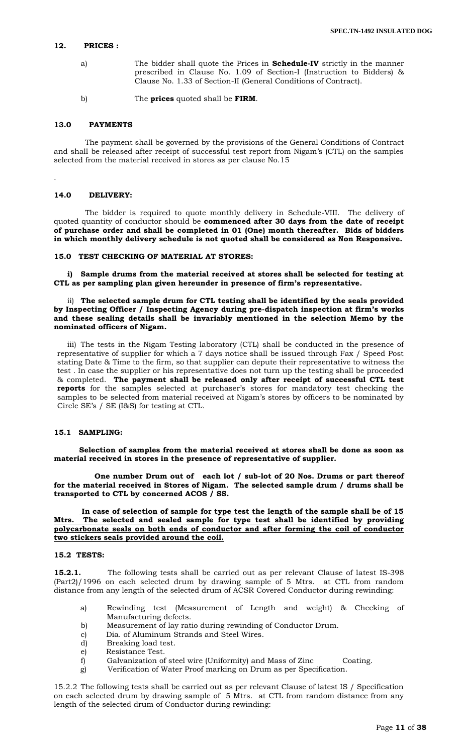# **12. PRICES :**

- a) The bidder shall quote the Prices in **Schedule-IV** strictly in the manner prescribed in Clause No. 1.09 of Section-I (Instruction to Bidders) & Clause No. 1.33 of Section-II (General Conditions of Contract).
- b) The **prices** quoted shall be **FIRM**.

#### **13.0 PAYMENTS**

 The payment shall be governed by the provisions of the General Conditions of Contract and shall be released after receipt of successful test report from Nigam"s (CTL) on the samples selected from the material received in stores as per clause No.15

#### **14.0 DELIVERY:**

.

 The bidder is required to quote monthly delivery in Schedule-VIII. The delivery of quoted quantity of conductor should be **commenced after 30 days from the date of receipt of purchase order and shall be completed in 01 (One) month thereafter. Bids of bidders in which monthly delivery schedule is not quoted shall be considered as Non Responsive.**

#### **15.0 TEST CHECKING OF MATERIAL AT STORES:**

**i) Sample drums from the material received at stores shall be selected for testing at CTL as per sampling plan given hereunder in presence of firm's representative.**

#### ii) **The selected sample drum for CTL testing shall be identified by the seals provided by Inspecting Officer / Inspecting Agency during pre-dispatch inspection at firm's works and these sealing details shall be invariably mentioned in the selection Memo by the nominated officers of Nigam.**

iii) The tests in the Nigam Testing laboratory (CTL) shall be conducted in the presence of representative of supplier for which a 7 days notice shall be issued through Fax / Speed Post stating Date & Time to the firm, so that supplier can depute their representative to witness the test . In case the supplier or his representative does not turn up the testing shall be proceeded & completed. **The payment shall be released only after receipt of successful CTL test**  reports for the samples selected at purchaser's stores for mandatory test checking the samples to be selected from material received at Nigam"s stores by officers to be nominated by Circle SE"s / SE (I&S) for testing at CTL.

## **15.1 SAMPLING:**

 **Selection of samples from the material received at stores shall be done as soon as material received in stores in the presence of representative of supplier.**

 **One number Drum out of each lot / sub-lot of 20 Nos. Drums or part thereof for the material received in Stores of Nigam. The selected sample drum / drums shall be transported to CTL by concerned ACOS / SS.**

 **In case of selection of sample for type test the length of the sample shall be of 15 Mtrs. The selected and sealed sample for type test shall be identified by providing polycarbonate seals on both ends of conductor and after forming the coil of conductor two stickers seals provided around the coil.** 

#### **15.2 TESTS:**

**15.2.1.** The following tests shall be carried out as per relevant Clause of latest IS-398 (Part2)/1996 on each selected drum by drawing sample of 5 Mtrs. at CTL from random distance from any length of the selected drum of ACSR Covered Conductor during rewinding:

- a) Rewinding test (Measurement of Length and weight) & Checking of Manufacturing defects.
- b) Measurement of lay ratio during rewinding of Conductor Drum.
- c) Dia. of Aluminum Strands and Steel Wires.
- d) Breaking load test.
- e) Resistance Test.
- f) Galvanization of steel wire (Uniformity) and Mass of Zinc Coating.
- g) Verification of Water Proof marking on Drum as per Specification.

15.2.2 The following tests shall be carried out as per relevant Clause of latest IS / Specification on each selected drum by drawing sample of 5 Mtrs. at CTL from random distance from any length of the selected drum of Conductor during rewinding: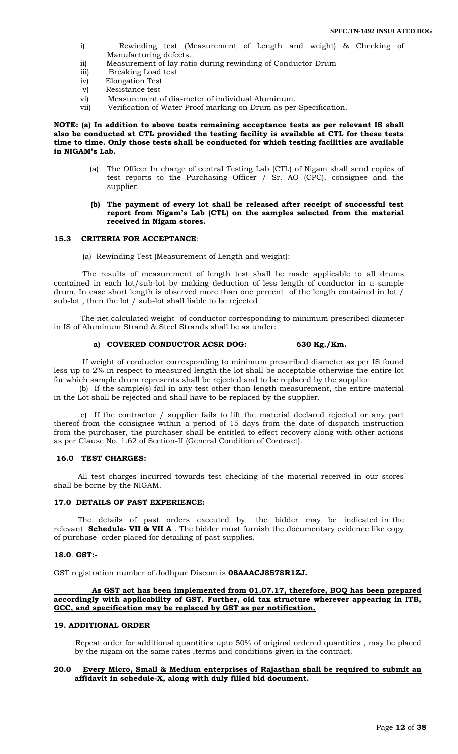- i) Rewinding test (Measurement of Length and weight) & Checking of Manufacturing defects.
- ii) Measurement of lay ratio during rewinding of Conductor Drum
- iii) Breaking Load test
- iv) Elongation Test
- v) Resistance test
- vi) Measurement of dia-meter of individual Aluminum.
- vii) Verification of Water Proof marking on Drum as per Specification.

#### **NOTE: (a) In addition to above tests remaining acceptance tests as per relevant IS shall also be conducted at CTL provided the testing facility is available at CTL for these tests time to time. Only those tests shall be conducted for which testing facilities are available in NIGAM's Lab.**

- (a) The Officer In charge of central Testing Lab (CTL) of Nigam shall send copies of test reports to the Purchasing Officer / Sr. AO (CPC), consignee and the supplier.
- **(b) The payment of every lot shall be released after receipt of successful test report from Nigam's Lab (CTL) on the samples selected from the material received in Nigam stores.**

#### **15.3 CRITERIA FOR ACCEPTANCE**:

(a) Rewinding Test (Measurement of Length and weight):

 The results of measurement of length test shall be made applicable to all drums contained in each lot/sub-lot by making deduction of less length of conductor in a sample drum. In case short length is observed more than one percent of the length contained in lot / sub-lot , then the lot / sub-lot shall liable to be rejected

The net calculated weight of conductor corresponding to minimum prescribed diameter in IS of Aluminum Strand & Steel Strands shall be as under:

#### **a) COVERED CONDUCTOR ACSR DOG: 630 Kg./Km.**

 If weight of conductor corresponding to minimum prescribed diameter as per IS found less up to 2% in respect to measured length the lot shall be acceptable otherwise the entire lot for which sample drum represents shall be rejected and to be replaced by the supplier.

 (b) If the sample(s) fail in any test other than length measurement, the entire material in the Lot shall be rejected and shall have to be replaced by the supplier.

c) If the contractor / supplier fails to lift the material declared rejected or any part thereof from the consignee within a period of 15 days from the date of dispatch instruction from the purchaser, the purchaser shall be entitled to effect recovery along with other actions as per Clause No. 1.62 of Section-II (General Condition of Contract).

### **16.0 TEST CHARGES:**

 All test charges incurred towards test checking of the material received in our stores shall be borne by the NIGAM.

#### **17.0 DETAILS OF PAST EXPERIENCE:**

 The details of past orders executed by the bidder may be indicated in the relevant **Schedule- VII & VII A** . The bidder must furnish the documentary evidence like copy of purchase order placed for detailing of past supplies.

#### **18.0**. **GST:-**

GST registration number of Jodhpur Discom is **08AAACJ8578R1ZJ.**

#### **As GST act has been implemented from 01.07.17, therefore, BOQ has been prepared accordingly with applicability of GST. Further, old tax structure wherever appearing in ITB, GCC, and specification may be replaced by GST as per notification.**

#### **19. ADDITIONAL ORDER**

 Repeat order for additional quantities upto 50% of original ordered quantities , may be placed by the nigam on the same rates ,terms and conditions given in the contract.

#### **20.0 Every Micro, Small & Medium enterprises of Rajasthan shall be required to submit an affidavit in schedule-X, along with duly filled bid document.**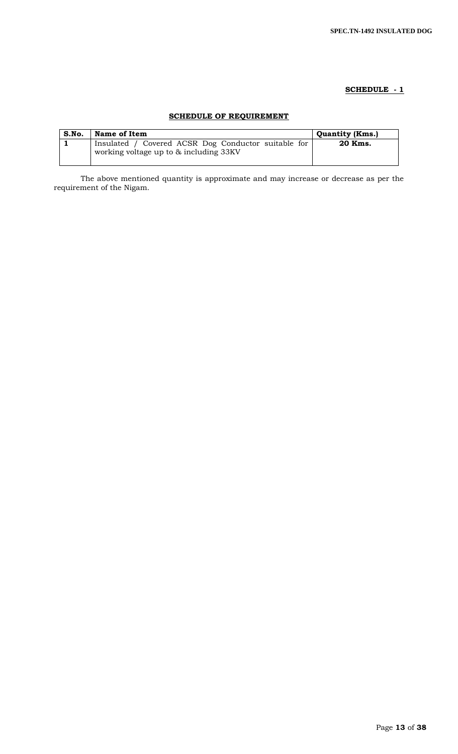# **SCHEDULE - 1**

# **SCHEDULE OF REQUIREMENT**

| S.No. | Name of Item                                                                                  | <b>Quantity (Kms.)</b> |
|-------|-----------------------------------------------------------------------------------------------|------------------------|
|       | Insulated / Covered ACSR Dog Conductor suitable for<br>working voltage up to & including 33KV | 20 Kms.                |

The above mentioned quantity is approximate and may increase or decrease as per the requirement of the Nigam.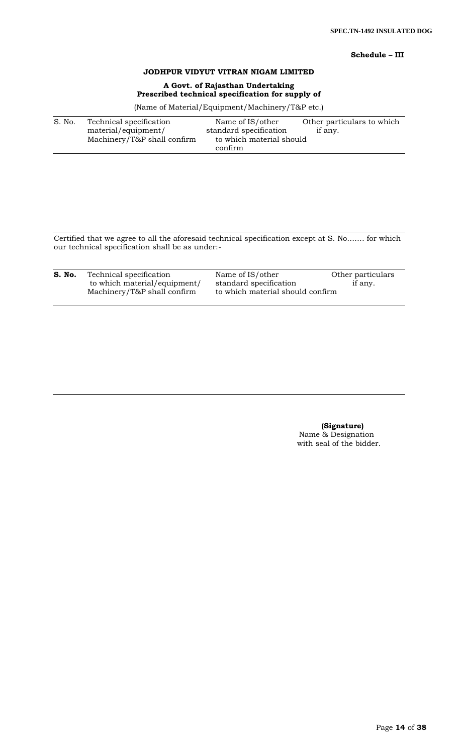# **Schedule – III**

# **JODHPUR VIDYUT VITRAN NIGAM LIMITED**

# **A Govt. of Rajasthan Undertaking Prescribed technical specification for supply of**

(Name of Material/Equipment/Machinery/T&P etc.)

| S. No. | Technical specification     | Name of IS/other         | Other particulars to which |
|--------|-----------------------------|--------------------------|----------------------------|
|        | material/equipment/         | standard specification   | if any.                    |
|        | Machinery/T&P shall confirm | to which material should |                            |
|        |                             | confirm                  |                            |

Certified that we agree to all the aforesaid technical specification except at S. No……. for which our technical specification shall be as under:-

| S. No. | Technical specification      | Name of IS/other                 | Other particulars |
|--------|------------------------------|----------------------------------|-------------------|
|        | to which material/equipment/ | standard specification           | if any.           |
|        | Machinery/T&P shall confirm  | to which material should confirm |                   |

 **(Signature)** Name & Designation with seal of the bidder.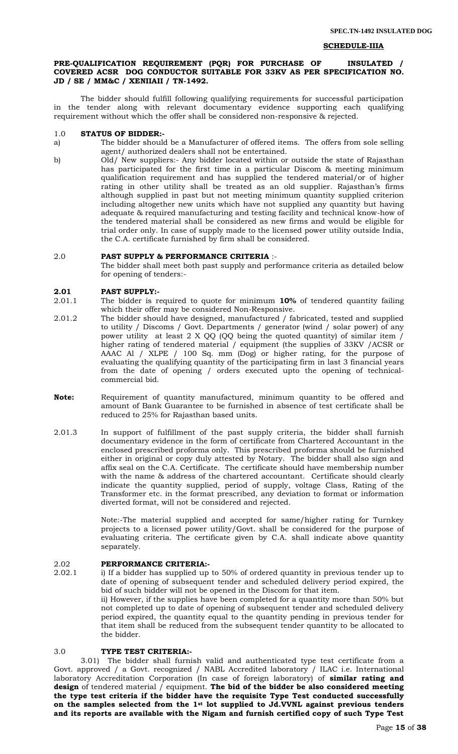#### **SCHEDULE-IIIA**

### **PRE-QUALIFICATION REQUIREMENT (PQR) FOR PURCHASE OF INSULATED / COVERED ACSR DOG CONDUCTOR SUITABLE FOR 33KV AS PER SPECIFICATION NO. JD / SE / MM&C / XENIIAII / TN-1492.**

The bidder should fulfill following qualifying requirements for successful participation in the tender along with relevant documentary evidence supporting each qualifying requirement without which the offer shall be considered non-responsive & rejected.

#### 1.0 **STATUS OF BIDDER:-**

a) The bidder should be a Manufacturer of offered items. The offers from sole selling agent/ authorized dealers shall not be entertained.

b) Old/ New suppliers:- Any bidder located within or outside the state of Rajasthan has participated for the first time in a particular Discom & meeting minimum qualification requirement and has supplied the tendered material/or of higher rating in other utility shall be treated as an old supplier. Rajasthan"s firms although supplied in past but not meeting minimum quantity supplied criterion including altogether new units which have not supplied any quantity but having adequate & required manufacturing and testing facility and technical know-how of the tendered material shall be considered as new firms and would be eligible for trial order only. In case of supply made to the licensed power utility outside India, the C.A. certificate furnished by firm shall be considered.

### 2.0 **PAST SUPPLY & PERFORMANCE CRITERIA** :-

The bidder shall meet both past supply and performance criteria as detailed below for opening of tenders:-

#### **2.01 PAST SUPPLY:-**

- 2.01.1 The bidder is required to quote for minimum **10%** of tendered quantity failing which their offer may be considered Non-Responsive.
- 2.01.2 The bidder should have designed, manufactured / fabricated, tested and supplied to utility / Discoms / Govt. Departments / generator (wind / solar power) of any power utility at least 2 X QQ (QQ being the quoted quantity) of similar item / higher rating of tendered material / equipment (the supplies of 33KV /ACSR or AAAC Al / XLPE / 100 Sq. mm (Dog) or higher rating, for the purpose of evaluating the qualifying quantity of the participating firm in last 3 financial years from the date of opening / orders executed upto the opening of technicalcommercial bid.
- **Note:** Requirement of quantity manufactured, minimum quantity to be offered and amount of Bank Guarantee to be furnished in absence of test certificate shall be reduced to 25% for Rajasthan based units.
- 2.01.3 In support of fulfillment of the past supply criteria, the bidder shall furnish documentary evidence in the form of certificate from Chartered Accountant in the enclosed prescribed proforma only. This prescribed proforma should be furnished either in original or copy duly attested by Notary. The bidder shall also sign and affix seal on the C.A. Certificate. The certificate should have membership number with the name & address of the chartered accountant. Certificate should clearly indicate the quantity supplied, period of supply, voltage Class, Rating of the Transformer etc. in the format prescribed, any deviation to format or information diverted format, will not be considered and rejected.

Note:-The material supplied and accepted for same/higher rating for Turnkey projects to a licensed power utility/Govt. shall be considered for the purpose of evaluating criteria. The certificate given by C.A. shall indicate above quantity separately.

### 2.02 **PERFORMANCE CRITERIA:-**

2.02.1 i) If a bidder has supplied up to 50% of ordered quantity in previous tender up to date of opening of subsequent tender and scheduled delivery period expired, the bid of such bidder will not be opened in the Discom for that item. ii) However, if the supplies have been completed for a quantity more than 50% but not completed up to date of opening of subsequent tender and scheduled delivery period expired, the quantity equal to the quantity pending in previous tender for that item shall be reduced from the subsequent tender quantity to be allocated to the bidder.

# 3.0 **TYPE TEST CRITERIA:-**

3.01) The bidder shall furnish valid and authenticated type test certificate from a Govt. approved / a Govt. recognized / NABL Accredited laboratory / ILAC i.e. International laboratory Accreditation Corporation (In case of foreign laboratory) of **similar rating and design** of tendered material / equipment. **The bid of the bidder be also considered meeting the type test criteria if the bidder have the requisite Type Test conducted successfully on the samples selected from the 1st lot supplied to Jd.VVNL against previous tenders and its reports are available with the Nigam and furnish certified copy of such Type Test**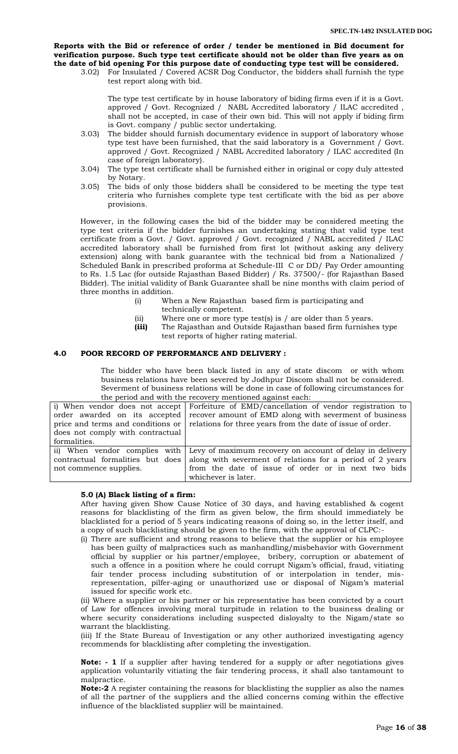**Reports with the Bid or reference of order / tender be mentioned in Bid document for verification purpose. Such type test certificate should not be older than five years as on the date of bid opening For this purpose date of conducting type test will be considered.**

3.02) For Insulated / Covered ACSR Dog Conductor, the bidders shall furnish the type test report along with bid.

The type test certificate by in house laboratory of biding firms even if it is a Govt. approved / Govt. Recognized / NABL Accredited laboratory / ILAC accredited , shall not be accepted, in case of their own bid. This will not apply if biding firm is Govt. company / public sector undertaking.

- 3.03) The bidder should furnish documentary evidence in support of laboratory whose type test have been furnished, that the said laboratory is a Government / Govt. approved / Govt. Recognized / NABL Accredited laboratory / ILAC accredited (In case of foreign laboratory).
- 3.04) The type test certificate shall be furnished either in original or copy duly attested by Notary.
- 3.05) The bids of only those bidders shall be considered to be meeting the type test criteria who furnishes complete type test certificate with the bid as per above provisions.

However, in the following cases the bid of the bidder may be considered meeting the type test criteria if the bidder furnishes an undertaking stating that valid type test certificate from a Govt. / Govt. approved / Govt. recognized / NABL accredited / ILAC accredited laboratory shall be furnished from first lot (without asking any delivery extension) along with bank guarantee with the technical bid from a Nationalized / Scheduled Bank in prescribed proforma at Schedule-III C or DD/ Pay Order amounting to Rs. 1.5 Lac (for outside Rajasthan Based Bidder) / Rs. 37500/- (for Rajasthan Based Bidder). The initial validity of Bank Guarantee shall be nine months with claim period of three months in addition.

- (i) When a New Rajasthan based firm is participating and technically competent.
- (ii) Where one or more type test(s) is / are older than 5 years.
- **(iii)** The Rajasthan and Outside Rajasthan based firm furnishes type test reports of higher rating material.

## **4.0 POOR RECORD OF PERFORMANCE AND DELIVERY :**

The bidder who have been black listed in any of state discom or with whom business relations have been severed by Jodhpur Discom shall not be considered. Severment of business relations will be done in case of following circumstances for the period and with the recovery mentioned against each:

|                                  | i) When vendor does not accept Forfeiture of EMD/cancellation of vendor registration to              |  |  |  |  |
|----------------------------------|------------------------------------------------------------------------------------------------------|--|--|--|--|
|                                  | order awarded on its accepted recover amount of EMD along with severment of business                 |  |  |  |  |
|                                  | price and terms and conditions or $\vert$ relations for three years from the date of issue of order. |  |  |  |  |
| does not comply with contractual |                                                                                                      |  |  |  |  |
| formalities.                     |                                                                                                      |  |  |  |  |
|                                  | ii) When vendor complies with Levy of maximum recovery on account of delay in delivery               |  |  |  |  |
| contractual formalities but does | along with severment of relations for a period of 2 years                                            |  |  |  |  |
| not commence supplies.           | from the date of issue of order or in next two bids                                                  |  |  |  |  |
|                                  | whichever is later.                                                                                  |  |  |  |  |

#### **5.0 (A) Black listing of a firm:**

After having given Show Cause Notice of 30 days, and having established & cogent reasons for blacklisting of the firm as given below, the firm should immediately be blacklisted for a period of 5 years indicating reasons of doing so, in the letter itself, and a copy of such blacklisting should be given to the firm, with the approval of CLPC:-

(i) There are sufficient and strong reasons to believe that the supplier or his employee has been guilty of malpractices such as manhandling/misbehavior with Government official by supplier or his partner/employee, bribery, corruption or abatement of such a offence in a position where he could corrupt Nigam's official, fraud, vitiating fair tender process including substitution of or interpolation in tender, misrepresentation, pilfer-aging or unauthorized use or disposal of Nigam"s material issued for specific work etc.

(ii) Where a supplier or his partner or his representative has been convicted by a court of Law for offences involving moral turpitude in relation to the business dealing or where security considerations including suspected disloyalty to the Nigam/state so warrant the blacklisting.

(iii) If the State Bureau of Investigation or any other authorized investigating agency recommends for blacklisting after completing the investigation.

**Note: - 1** If a supplier after having tendered for a supply or after negotiations gives application voluntarily vitiating the fair tendering process, it shall also tantamount to malpractice.

**Note:-2** A register containing the reasons for blacklisting the supplier as also the names of all the partner of the suppliers and the allied concerns coming within the effective influence of the blacklisted supplier will be maintained.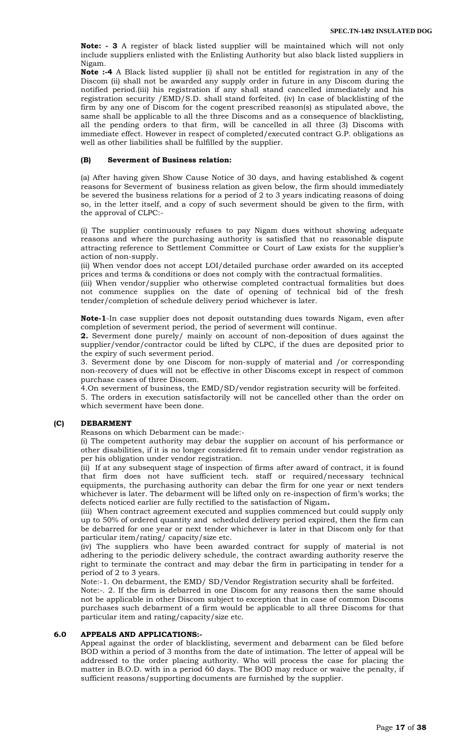**Note: - 3** A register of black listed supplier will be maintained which will not only include suppliers enlisted with the Enlisting Authority but also black listed suppliers in Nigam.

**Note :-4** A Black listed supplier (i) shall not be entitled for registration in any of the Discom (ii) shall not be awarded any supply order in future in any Discom during the notified period.(iii) his registration if any shall stand cancelled immediately and his registration security /EMD/S.D. shall stand forfeited. (iv) In case of blacklisting of the firm by any one of Discom for the cogent prescribed reason(s) as stipulated above, the same shall be applicable to all the three Discoms and as a consequence of blacklisting, all the pending orders to that firm, will be cancelled in all three (3) Discoms with immediate effect. However in respect of completed/executed contract G.P. obligations as well as other liabilities shall be fulfilled by the supplier.

#### **(B) Severment of Business relation:**

(a) After having given Show Cause Notice of 30 days, and having established & cogent reasons for Severment of business relation as given below, the firm should immediately be severed the business relations for a period of 2 to 3 years indicating reasons of doing so, in the letter itself, and a copy of such severment should be given to the firm, with the approval of CLPC:-

(i) The supplier continuously refuses to pay Nigam dues without showing adequate reasons and where the purchasing authority is satisfied that no reasonable dispute attracting reference to Settlement Committee or Court of Law exists for the supplier"s action of non-supply.

(ii) When vendor does not accept LOI/detailed purchase order awarded on its accepted prices and terms & conditions or does not comply with the contractual formalities.

(iii) When vendor/supplier who otherwise completed contractual formalities but does not commence supplies on the date of opening of technical bid of the fresh tender/completion of schedule delivery period whichever is later.

**Note-1**-In case supplier does not deposit outstanding dues towards Nigam, even after completion of severment period, the period of severment will continue.

**2.** Severment done purely/ mainly on account of non-deposition of dues against the supplier/vendor/contractor could be lifted by CLPC, if the dues are deposited prior to the expiry of such severment period.

3. Severment done by one Discom for non-supply of material and /or corresponding non-recovery of dues will not be effective in other Discoms except in respect of common purchase cases of three Discom.

4.On severment of business, the EMD/SD/vendor registration security will be forfeited.

5. The orders in execution satisfactorily will not be cancelled other than the order on which severment have been done.

#### **(C) DEBARMENT**

Reasons on which Debarment can be made:-

(i) The competent authority may debar the supplier on account of his performance or other disabilities, if it is no longer considered fit to remain under vendor registration as per his obligation under vendor registration.

(ii) If at any subsequent stage of inspection of firms after award of contract, it is found that firm does not have sufficient tech. staff or required/necessary technical equipments, the purchasing authority can debar the firm for one year or next tenders whichever is later. The debarment will be lifted only on re-inspection of firm"s works; the defects noticed earlier are fully rectified to the satisfaction of Nigam**.** 

(iii) When contract agreement executed and supplies commenced but could supply only up to 50% of ordered quantity and scheduled delivery period expired, then the firm can be debarred for one year or next tender whichever is later in that Discom only for that particular item/rating/ capacity/size etc.

(iv) The suppliers who have been awarded contract for supply of material is not adhering to the periodic delivery schedule, the contract awarding authority reserve the right to terminate the contract and may debar the firm in participating in tender for a period of 2 to 3 years.

Note:-1. On debarment, the EMD/ SD/Vendor Registration security shall be forfeited.

Note:-. 2. If the firm is debarred in one Discom for any reasons then the same should not be applicable in other Discom subject to exception that in case of common Discoms purchases such debarment of a firm would be applicable to all three Discoms for that particular item and rating/capacity/size etc.

## **6.0 APPEALS AND APPLICATIONS:-**

Appeal against the order of blacklisting, severment and debarment can be filed before BOD within a period of 3 months from the date of intimation. The letter of appeal will be addressed to the order placing authority. Who will process the case for placing the matter in B.O.D. with in a period 60 days. The BOD may reduce or waive the penalty, if sufficient reasons/supporting documents are furnished by the supplier.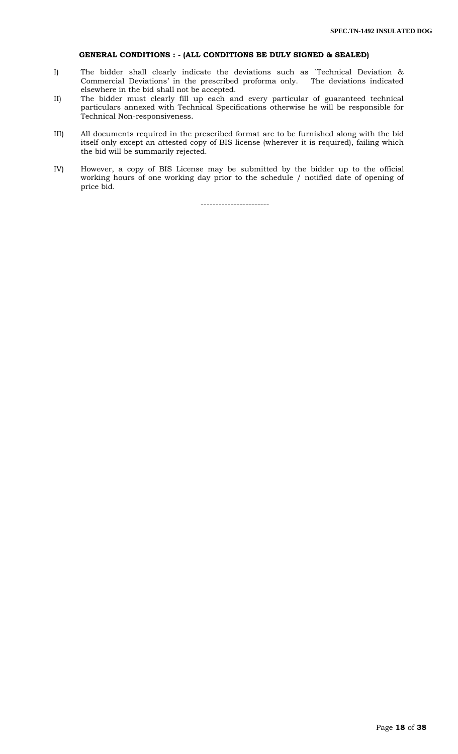## **GENERAL CONDITIONS : - (ALL CONDITIONS BE DULY SIGNED & SEALED)**

- I) The bidder shall clearly indicate the deviations such as `Technical Deviation & Commercial Deviations" in the prescribed proforma only. The deviations indicated elsewhere in the bid shall not be accepted.
- II) The bidder must clearly fill up each and every particular of guaranteed technical particulars annexed with Technical Specifications otherwise he will be responsible for Technical Non-responsiveness.
- III) All documents required in the prescribed format are to be furnished along with the bid itself only except an attested copy of BIS license (wherever it is required), failing which the bid will be summarily rejected.
- IV) However, a copy of BIS License may be submitted by the bidder up to the official working hours of one working day prior to the schedule / notified date of opening of price bid.

-----------------------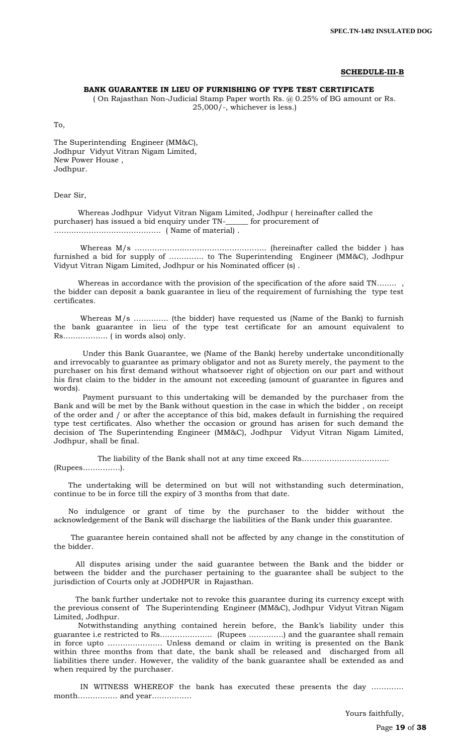#### **SCHEDULE-III-B**

#### **BANK GUARANTEE IN LIEU OF FURNISHING OF TYPE TEST CERTIFICATE**

( On Rajasthan Non-Judicial Stamp Paper worth Rs. @ 0.25% of BG amount or Rs. 25,000/-, whichever is less.)

To,

The Superintending Engineer (MM&C), Jodhpur Vidyut Vitran Nigam Limited, New Power House , Jodhpur.

#### Dear Sir,

 Whereas Jodhpur Vidyut Vitran Nigam Limited, Jodhpur ( hereinafter called the purchaser) has issued a bid enquiry under TN-\_\_\_\_\_\_ for procurement of ……………………………………. ( Name of material) .

 Whereas M/s …………………………………………….. (hereinafter called the bidder ) has furnished a bid for supply of ………….. to The Superintending Engineer (MM&C), Jodhpur Vidyut Vitran Nigam Limited, Jodhpur or his Nominated officer (s) .

Whereas in accordance with the provision of the specification of the afore said TN…….. the bidder can deposit a bank guarantee in lieu of the requirement of furnishing the type test certificates.

 Whereas M/s ………….. (the bidder) have requested us (Name of the Bank) to furnish the bank guarantee in lieu of the type test certificate for an amount equivalent to Rs……………… ( in words also) only.

 Under this Bank Guarantee, we (Name of the Bank) hereby undertake unconditionally and irrevocably to guarantee as primary obligator and not as Surety merely, the payment to the purchaser on his first demand without whatsoever right of objection on our part and without his first claim to the bidder in the amount not exceeding (amount of guarantee in figures and words).

 Payment pursuant to this undertaking will be demanded by the purchaser from the Bank and will be met by the Bank without question in the case in which the bidder , on receipt of the order and / or after the acceptance of this bid, makes default in furnishing the required type test certificates. Also whether the occasion or ground has arisen for such demand the decision of The Superintending Engineer (MM&C), Jodhpur Vidyut Vitran Nigam Limited, Jodhpur, shall be final.

 The liability of the Bank shall not at any time exceed Rs…………………………….. (Rupees……………).

 The undertaking will be determined on but will not withstanding such determination, continue to be in force till the expiry of 3 months from that date.

 No indulgence or grant of time by the purchaser to the bidder without the acknowledgement of the Bank will discharge the liabilities of the Bank under this guarantee.

 The guarantee herein contained shall not be affected by any change in the constitution of the bidder.

 All disputes arising under the said guarantee between the Bank and the bidder or between the bidder and the purchaser pertaining to the guarantee shall be subject to the jurisdiction of Courts only at JODHPUR in Rajasthan.

 The bank further undertake not to revoke this guarantee during its currency except with the previous consent of The Superintending Engineer (MM&C), Jodhpur Vidyut Vitran Nigam Limited, Jodhpur.

 Notwithstanding anything contained herein before, the Bank"s liability under this guarantee i.e restricted to Rs………………… (Rupees …………..) and the guarantee shall remain in force upto …………………. Unless demand or claim in writing is presented on the Bank within three months from that date, the bank shall be released and discharged from all liabilities there under. However, the validity of the bank guarantee shall be extended as and when required by the purchaser.

 IN WITNESS WHEREOF the bank has executed these presents the day …………. month……………. and year…………….

Yours faithfully,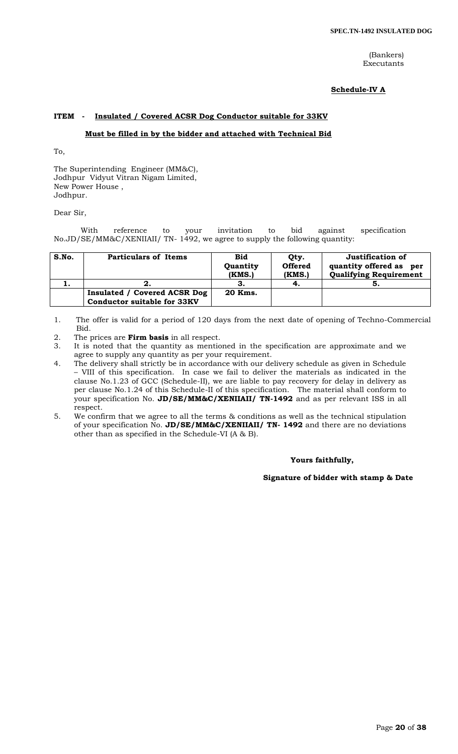(Bankers) Executants

## **Schedule-IV A**

## **ITEM - Insulated / Covered ACSR Dog Conductor suitable for 33KV**

## **Must be filled in by the bidder and attached with Technical Bid**

To,

The Superintending Engineer (MM&C), Jodhpur Vidyut Vitran Nigam Limited, New Power House , Jodhpur.

Dear Sir,

With reference to your invitation to bid against specification No.JD/SE/MM&C/XENIIAII/ TN- 1492, we agree to supply the following quantity:

| S.No. | <b>Particulars of Items</b>                                        | <b>Bid</b><br>Quantity<br>(KMS.) | Qty.<br><b>Offered</b><br>(KMS.) | Justification of<br>quantity offered as<br>per<br><b>Qualifying Requirement</b> |
|-------|--------------------------------------------------------------------|----------------------------------|----------------------------------|---------------------------------------------------------------------------------|
|       |                                                                    |                                  |                                  | Ð.                                                                              |
|       | Insulated / Covered ACSR Dog<br><b>Conductor suitable for 33KV</b> | 20 Kms.                          |                                  |                                                                                 |

1. The offer is valid for a period of 120 days from the next date of opening of Techno-Commercial Bid.

- 2. The prices are **Firm basis** in all respect.
- 3. It is noted that the quantity as mentioned in the specification are approximate and we agree to supply any quantity as per your requirement.
- 4. The delivery shall strictly be in accordance with our delivery schedule as given in Schedule – VIII of this specification. In case we fail to deliver the materials as indicated in the clause No.1.23 of GCC (Schedule-II), we are liable to pay recovery for delay in delivery as per clause No.1.24 of this Schedule-II of this specification. The material shall conform to your specification No. **JD/SE/MM&C/XENIIAII/ TN-1492** and as per relevant ISS in all respect.
- 5. We confirm that we agree to all the terms & conditions as well as the technical stipulation of your specification No. **JD/SE/MM&C/XENIIAII/ TN- 1492** and there are no deviations other than as specified in the Schedule-VI (A & B).

#### **Yours faithfully,**

 **Signature of bidder with stamp & Date**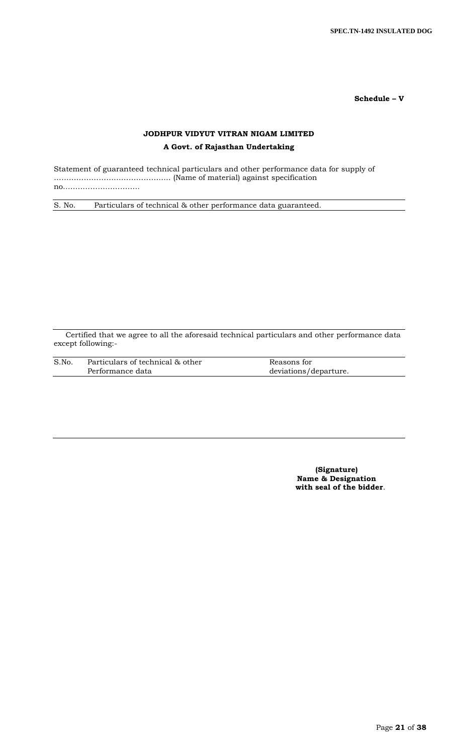**Schedule – V**

# **JODHPUR VIDYUT VITRAN NIGAM LIMITED**

# **A Govt. of Rajasthan Undertaking**

Statement of guaranteed technical particulars and other performance data for supply of ……………………………………….. (Name of material) against specification no..………………………..

S. No. Particulars of technical & other performance data guaranteed.

Certified that we agree to all the aforesaid technical particulars and other performance data except following:-

| S.No. | Particulars of technical & other | Reasons for           |
|-------|----------------------------------|-----------------------|
|       | Performance data                 | deviations/departure. |

**(Signature) Name & Designation with seal of the bidder**.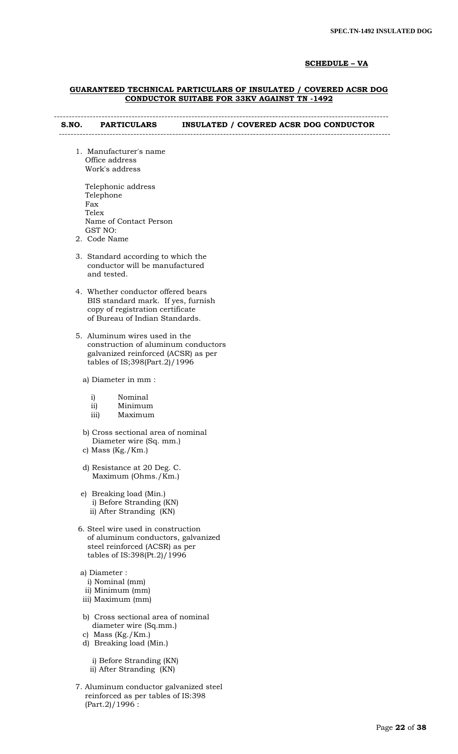## **SCHEDULE – VA**

#### **GUARANTEED TECHNICAL PARTICULARS OF INSULATED / COVERED ACSR DOG CONDUCTOR SUITABE FOR 33KV AGAINST TN -1492**

#### ---------------------------------------------------------------------------------------------------------------- **S.NO. PARTICULARS INSULATED / COVERED ACSR DOG CONDUCTOR**

 1. Manufacturer's name Office address Work's address

---------------------------------------------------------------------------------------------------------------

| Telephonic address     |
|------------------------|
| Telephone              |
| Fax                    |
| Telex                  |
| Name of Contact Person |
| GST NO:                |
|                        |

- 2. Code Name
- 3. Standard according to which the conductor will be manufactured and tested.
- 4. Whether conductor offered bears BIS standard mark. If yes, furnish copy of registration certificate of Bureau of Indian Standards.
- 5. Aluminum wires used in the construction of aluminum conductors galvanized reinforced (ACSR) as per tables of IS;398(Part.2)/1996

a) Diameter in mm :

| $\mathbf{i}$ |  | Nominal |  |
|--------------|--|---------|--|
|              |  |         |  |

- ii) Minimum
- iii) Maximum
- b) Cross sectional area of nominal Diameter wire (Sq. mm.)
- c) Mass (Kg./Km.)
- d) Resistance at 20 Deg. C. Maximum (Ohms./Km.)
- e) Breaking load (Min.) i) Before Stranding (KN) ii) After Stranding (KN)
- 6. Steel wire used in construction of aluminum conductors, galvanized steel reinforced (ACSR) as per tables of IS:398(Pt.2)/1996
- a) Diameter :
	- i) Nominal (mm)
- ii) Minimum (mm)
- iii) Maximum (mm)
- b) Cross sectional area of nominal diameter wire (Sq.mm.)
- c) Mass (Kg./Km.)
- d) Breaking load (Min.)

 i) Before Stranding (KN) ii) After Stranding (KN)

 7. Aluminum conductor galvanized steel reinforced as per tables of IS:398  $(Part.2)/1996$ :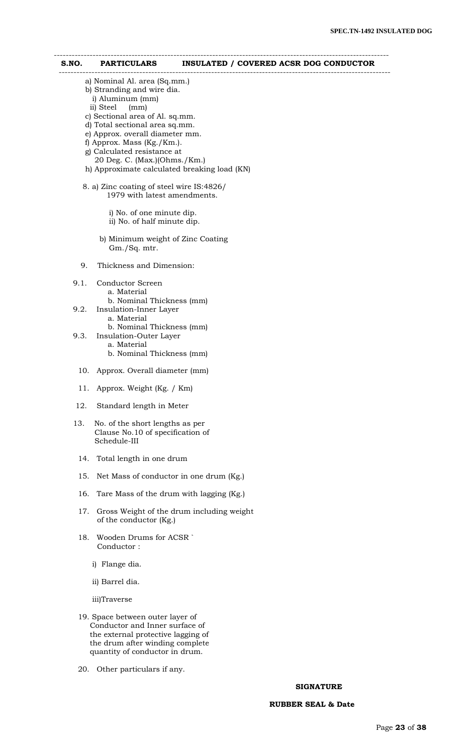# ---------------------------------------------------------------------------------------------------------------- **S.NO. PARTICULARS INSULATED / COVERED ACSR DOG CONDUCTOR**  -------------------------------------------------------------------------------------------------------------- a) Nominal Al. area (Sq.mm.) b) Stranding and wire dia. i) Aluminum (mm) ii) Steel (mm) c) Sectional area of Al. sq.mm. d) Total sectional area sq.mm. e) Approx. overall diameter mm. f) Approx. Mass (Kg./Km.). g) Calculated resistance at 20 Deg. C. (Max.)(Ohms./Km.) h) Approximate calculated breaking load (KN) 8. a) Zinc coating of steel wire IS:4826/ 1979 with latest amendments. i) No. of one minute dip. ii) No. of half minute dip. b) Minimum weight of Zinc Coating Gm./Sq. mtr. 9. Thickness and Dimension: 9.1. Conductor Screen a. Material b. Nominal Thickness (mm) 9.2. Insulation-Inner Layer a. Material b. Nominal Thickness (mm) 9.3. Insulation-Outer Layer a. Material b. Nominal Thickness (mm) 10. Approx. Overall diameter (mm) 11. Approx. Weight (Kg. / Km) 12. Standard length in Meter 13. No. of the short lengths as per Clause No.10 of specification of Schedule-III 14. Total length in one drum 15. Net Mass of conductor in one drum (Kg.) 16. Tare Mass of the drum with lagging (Kg.) 17. Gross Weight of the drum including weight of the conductor (Kg.) 18. Wooden Drums for ACSR ` Conductor : i) Flange dia. ii) Barrel dia.

iii)Traverse

- 19. Space between outer layer of Conductor and Inner surface of the external protective lagging of the drum after winding complete quantity of conductor in drum.
- 20. Other particulars if any.

#### **SIGNATURE**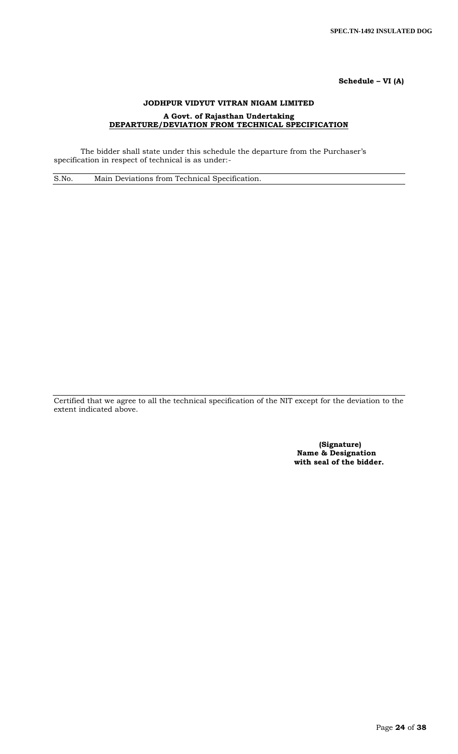# **Schedule – VI (A)**

# **JODHPUR VIDYUT VITRAN NIGAM LIMITED A Govt. of Rajasthan Undertaking DEPARTURE/DEVIATION FROM TECHNICAL SPECIFICATION**

The bidder shall state under this schedule the departure from the Purchaser's specification in respect of technical is as under:-

S.No. Main Deviations from Technical Specification.

Certified that we agree to all the technical specification of the NIT except for the deviation to the extent indicated above.

> **(Signature) Name & Designation with seal of the bidder.**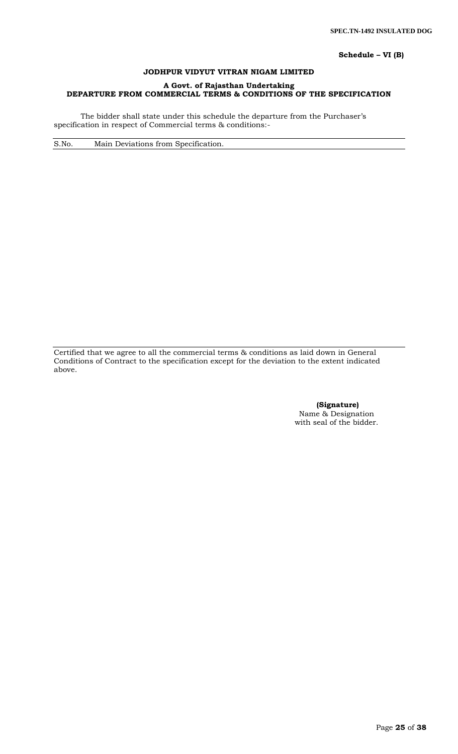**Schedule – VI (B)**

# **JODHPUR VIDYUT VITRAN NIGAM LIMITED**

# **A Govt. of Rajasthan Undertaking DEPARTURE FROM COMMERCIAL TERMS & CONDITIONS OF THE SPECIFICATION**

The bidder shall state under this schedule the departure from the Purchaser's specification in respect of Commercial terms & conditions:-

S.No. Main Deviations from Specification.

Certified that we agree to all the commercial terms & conditions as laid down in General Conditions of Contract to the specification except for the deviation to the extent indicated above.

> **(Signature)** Name & Designation with seal of the bidder.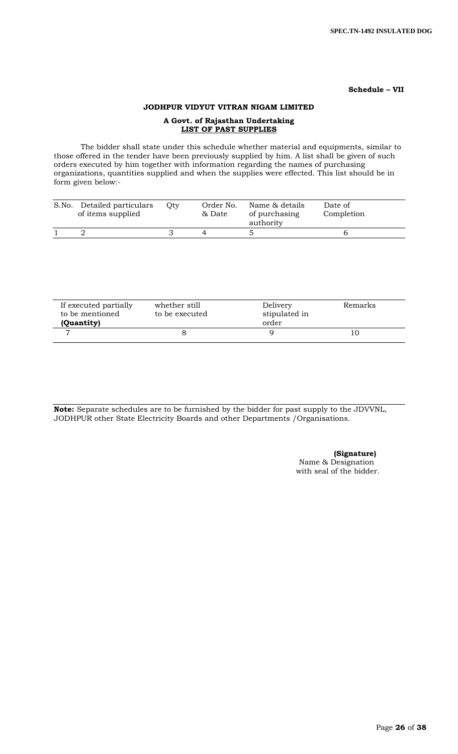### **Schedule – VII**

# **JODHPUR VIDYUT VITRAN NIGAM LIMITED**

# **A Govt. of Rajasthan Undertaking LIST OF PAST SUPPLIES**

The bidder shall state under this schedule whether material and equipments, similar to those offered in the tender have been previously supplied by him. A list shall be given of such orders executed by him together with information regarding the names of purchasing organizations, quantities supplied and when the supplies were effected. This list should be in form given below:-

| S.No. | Detailed particulars<br>of items supplied | Otv | Order No.<br>& Date | Name & details<br>of purchasing<br>authority | Date of<br>Completion |  |
|-------|-------------------------------------------|-----|---------------------|----------------------------------------------|-----------------------|--|
|       |                                           |     |                     |                                              |                       |  |

| If executed partially<br>to be mentioned<br>(Quantity) | whether still<br>to be executed | Delivery<br>stipulated in<br>order | Remarks |  |
|--------------------------------------------------------|---------------------------------|------------------------------------|---------|--|
|                                                        |                                 |                                    |         |  |

**Note:** Separate schedules are to be furnished by the bidder for past supply to the JDVVNL, JODHPUR other State Electricity Boards and other Departments /Organisations.

# **(Signature)**

Name & Designation with seal of the bidder.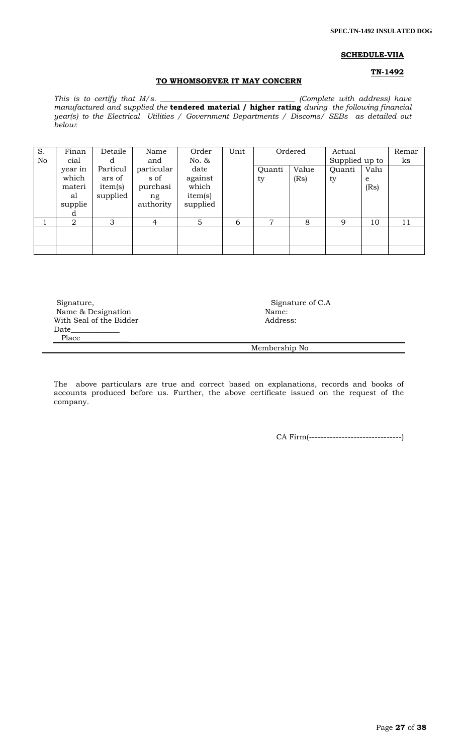#### **SCHEDULE-VIIA**

## **TN-1492**

# **TO WHOMSOEVER IT MAY CONCERN**

*This is to certify that M/s.* \_\_\_\_\_\_\_\_\_\_\_\_\_\_\_\_\_\_\_\_\_\_\_\_\_\_\_\_\_\_\_\_\_\_ (Complete with address) have *manufactured and supplied the* **tendered material / higher rating** *during the following financial year(s) to the Electrical Utilities / Government Departments / Discoms/ SEBs as detailed out below:* 

| S.<br>No | Finan<br>cial                                    | Detaile                                   | Name<br>and                                       | Order<br>No. &                                  | Unit | Ordered      |               | Actual<br>Supplied up to |                   | Remar<br>ks |
|----------|--------------------------------------------------|-------------------------------------------|---------------------------------------------------|-------------------------------------------------|------|--------------|---------------|--------------------------|-------------------|-------------|
|          | year in<br>which<br>materi<br>al<br>supplie<br>d | Particul<br>ars of<br>item(s)<br>supplied | particular<br>s of<br>purchasi<br>ng<br>authority | date<br>against<br>which<br>item(s)<br>supplied |      | Quanti<br>ty | Value<br>(Rs) | Quanti<br>ty             | Valu<br>e<br>(Rs) |             |
|          | 2                                                | 3                                         | 4                                                 | 5                                               | 6    | 7            | 8             | 9                        | 10                | 11          |
|          |                                                  |                                           |                                                   |                                                 |      |              |               |                          |                   |             |
|          |                                                  |                                           |                                                   |                                                 |      |              |               |                          |                   |             |
|          |                                                  |                                           |                                                   |                                                 |      |              |               |                          |                   |             |

Signature, Signature of C.A Signature of C.A Name & Designation Name & Designation With Seal of the Bidder **Address:** Address: Date\_\_\_\_\_\_\_\_\_\_\_\_\_ Place\_\_\_\_\_\_\_\_\_\_\_\_\_

Membership No

The above particulars are true and correct based on explanations, records and books of accounts produced before us. Further, the above certificate issued on the request of the company.

CA Firm(-------------------------------)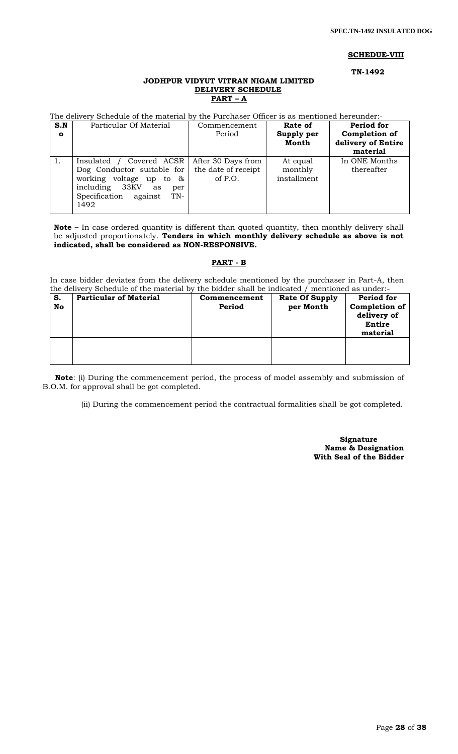#### **SCHEDUE-VIII**

 **TN-1492**

# **JODHPUR VIDYUT VITRAN NIGAM LIMITED DELIVERY SCHEDULE PART – A**

The delivery Schedule of the material by the Purchaser Officer is as mentioned hereunder:-

| S.N<br>$\mathbf{o}$ | Particular Of Material                                                                                                                                                                     | Commencement<br>Period          | Rate of<br>Supply per<br>Month     | Period for<br>Completion of<br>delivery of Entire<br>material |
|---------------------|--------------------------------------------------------------------------------------------------------------------------------------------------------------------------------------------|---------------------------------|------------------------------------|---------------------------------------------------------------|
|                     | Covered ACSR<br>Insulated /<br>Dog Conductor suitable for $\vert$ the date of receipt<br>working voltage up to $\&$<br>including 33KV<br>as<br>per<br>Specification against<br>TN-<br>1492 | After 30 Days from<br>of $P.O.$ | At equal<br>monthly<br>installment | In ONE Months<br>thereafter                                   |

**Note –** In case ordered quantity is different than quoted quantity, then monthly delivery shall be adjusted proportionately. **Tenders in which monthly delivery schedule as above is not indicated, shall be considered as NON-RESPONSIVE.**

#### **PART - B**

In case bidder deviates from the delivery schedule mentioned by the purchaser in Part-A, then the delivery Schedule of the material by the bidder shall be indicated / mentioned as under:-

| S.<br>No | <b>Particular of Material</b> | Commencement<br>Period | <b>Rate Of Supply</b><br>per Month | Period for<br>Completion of<br>delivery of<br>Entire<br>material |
|----------|-------------------------------|------------------------|------------------------------------|------------------------------------------------------------------|
|          |                               |                        |                                    |                                                                  |

 **Note**: (i) During the commencement period, the process of model assembly and submission of B.O.M. for approval shall be got completed.

(ii) During the commencement period the contractual formalities shall be got completed.

 **Signature Name & Designation With Seal of the Bidder**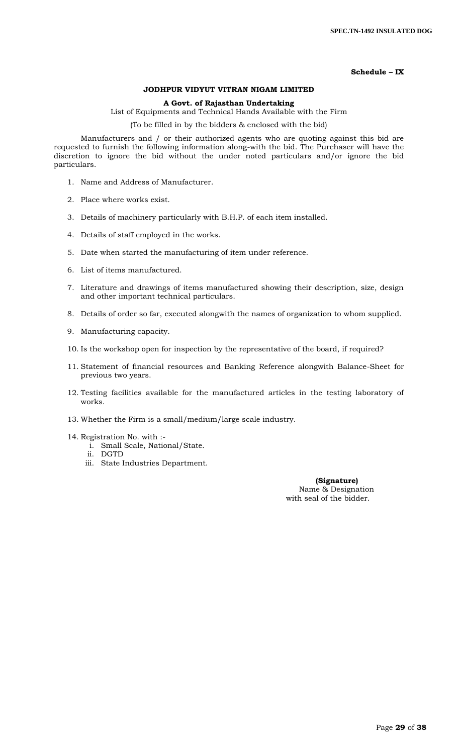# **Schedule – IX**

## **JODHPUR VIDYUT VITRAN NIGAM LIMITED**

## **A Govt. of Rajasthan Undertaking**

List of Equipments and Technical Hands Available with the Firm

(To be filled in by the bidders & enclosed with the bid)

Manufacturers and / or their authorized agents who are quoting against this bid are requested to furnish the following information along-with the bid. The Purchaser will have the discretion to ignore the bid without the under noted particulars and/or ignore the bid particulars.

- 1. Name and Address of Manufacturer.
- 2. Place where works exist.
- 3. Details of machinery particularly with B.H.P. of each item installed.
- 4. Details of staff employed in the works.
- 5. Date when started the manufacturing of item under reference.
- 6. List of items manufactured.
- 7. Literature and drawings of items manufactured showing their description, size, design and other important technical particulars.
- 8. Details of order so far, executed alongwith the names of organization to whom supplied.
- 9. Manufacturing capacity.
- 10. Is the workshop open for inspection by the representative of the board, if required?
- 11. Statement of financial resources and Banking Reference alongwith Balance-Sheet for previous two years.
- 12. Testing facilities available for the manufactured articles in the testing laboratory of works.
- 13. Whether the Firm is a small/medium/large scale industry.
- 14. Registration No. with :
	- i. Small Scale, National/State.
	- ii. DGTD
	- iii. State Industries Department.

 **(Signature)** Name & Designation with seal of the bidder.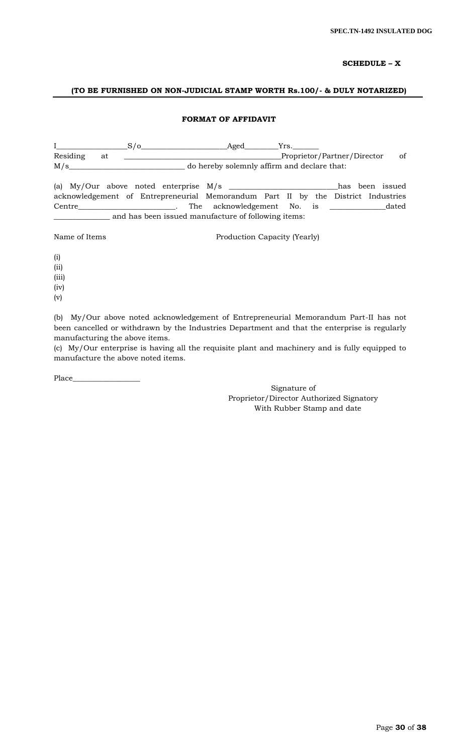# **SCHEDULE – X**

## **(TO BE FURNISHED ON NON-JUDICIAL STAMP WORTH Rs.100/- & DULY NOTARIZED)**

## **FORMAT OF AFFIDAVIT**

|                |                              |  | $S/O$ Aged                                                                           |  | Yrs.                         |               |
|----------------|------------------------------|--|--------------------------------------------------------------------------------------|--|------------------------------|---------------|
| Residing<br>at |                              |  |                                                                                      |  | Proprietor/Partner/Director_ | <sub>of</sub> |
| M/s            |                              |  | do hereby solemnly affirm and declare that:                                          |  |                              |               |
|                |                              |  | (a) My/Our above noted enterprise M/s _______________________________has been issued |  |                              |               |
|                |                              |  | acknowledgement of Entrepreneurial Memorandum Part II by the District Industries     |  |                              |               |
|                |                              |  | Centre dated the cknowledgement No. is dated                                         |  |                              |               |
|                |                              |  | and has been issued manufacture of following items:                                  |  |                              |               |
| Name of Items  | Production Capacity (Yearly) |  |                                                                                      |  |                              |               |

(i)

(ii)

(iii)

(iv)

(v)

(b) My/Our above noted acknowledgement of Entrepreneurial Memorandum Part-II has not been cancelled or withdrawn by the Industries Department and that the enterprise is regularly manufacturing the above items.

(c) My/Our enterprise is having all the requisite plant and machinery and is fully equipped to manufacture the above noted items.

Place\_\_\_\_

Signature of Proprietor/Director Authorized Signatory With Rubber Stamp and date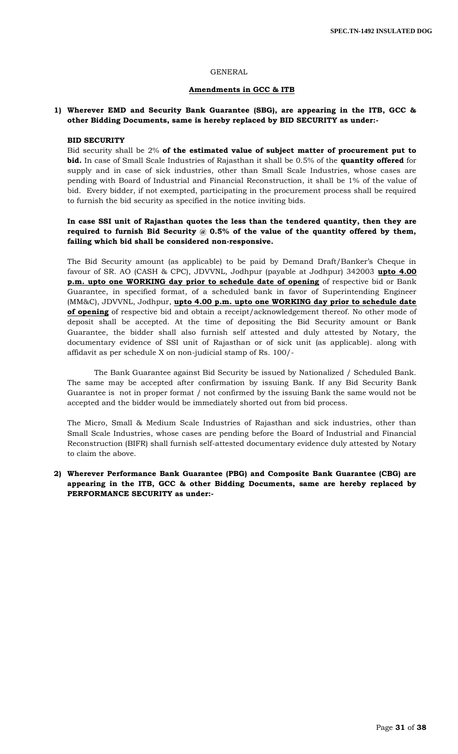#### GENERAL

## **Amendments in GCC & ITB**

# **1) Wherever EMD and Security Bank Guarantee (SBG), are appearing in the ITB, GCC & other Bidding Documents, same is hereby replaced by BID SECURITY as under:-**

#### **BID SECURITY**

Bid security shall be 2% **of the estimated value of subject matter of procurement put to bid.** In case of Small Scale Industries of Rajasthan it shall be 0.5% of the **quantity offered** for supply and in case of sick industries, other than Small Scale Industries, whose cases are pending with Board of Industrial and Financial Reconstruction, it shall be 1% of the value of bid. Every bidder, if not exempted, participating in the procurement process shall be required to furnish the bid security as specified in the notice inviting bids.

# **In case SSI unit of Rajasthan quotes the less than the tendered quantity, then they are required to furnish Bid Security @ 0.5% of the value of the quantity offered by them, failing which bid shall be considered non-responsive.**

The Bid Security amount (as applicable) to be paid by Demand Draft/Banker's Cheque in favour of SR. AO (CASH & CPC), JDVVNL, Jodhpur (payable at Jodhpur) 342003 **upto 4.00 p.m. upto one WORKING day prior to schedule date of opening** of respective bid or Bank Guarantee, in specified format, of a scheduled bank in favor of Superintending Engineer (MM&C), JDVVNL, Jodhpur, **upto 4.00 p.m. upto one WORKING day prior to schedule date of opening** of respective bid and obtain a receipt/acknowledgement thereof. No other mode of deposit shall be accepted. At the time of depositing the Bid Security amount or Bank Guarantee, the bidder shall also furnish self attested and duly attested by Notary, the documentary evidence of SSI unit of Rajasthan or of sick unit (as applicable). along with affidavit as per schedule X on non-judicial stamp of Rs. 100/-

The Bank Guarantee against Bid Security be issued by Nationalized / Scheduled Bank. The same may be accepted after confirmation by issuing Bank. If any Bid Security Bank Guarantee is not in proper format / not confirmed by the issuing Bank the same would not be accepted and the bidder would be immediately shorted out from bid process.

The Micro, Small & Medium Scale Industries of Rajasthan and sick industries, other than Small Scale Industries, whose cases are pending before the Board of Industrial and Financial Reconstruction (BIFR) shall furnish self-attested documentary evidence duly attested by Notary to claim the above.

# **2) Wherever Performance Bank Guarantee (PBG) and Composite Bank Guarantee (CBG) are appearing in the ITB, GCC & other Bidding Documents, same are hereby replaced by PERFORMANCE SECURITY as under:-**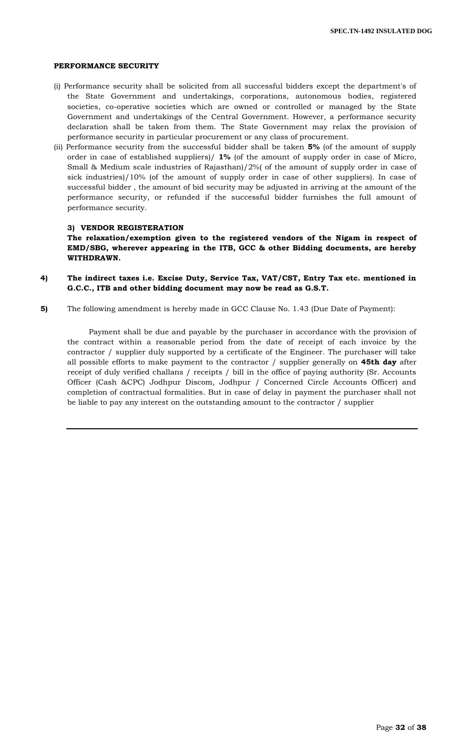### **PERFORMANCE SECURITY**

- (i) Performance security shall be solicited from all successful bidders except the department's of the State Government and undertakings, corporations, autonomous bodies, registered societies, co-operative societies which are owned or controlled or managed by the State Government and undertakings of the Central Government. However, a performance security declaration shall be taken from them. The State Government may relax the provision of performance security in particular procurement or any class of procurement.
- (ii) Performance security from the successful bidder shall be taken **5%** (of the amount of supply order in case of established suppliers)/ **1%** (of the amount of supply order in case of Micro, Small & Medium scale industries of Rajasthan)/2%( of the amount of supply order in case of sick industries)/10% (of the amount of supply order in case of other suppliers). In case of successful bidder , the amount of bid security may be adjusted in arriving at the amount of the performance security, or refunded if the successful bidder furnishes the full amount of performance security.

#### **3) VENDOR REGISTERATION**

**The relaxation/exemption given to the registered vendors of the Nigam in respect of EMD/SBG, wherever appearing in the ITB, GCC & other Bidding documents, are hereby WITHDRAWN.**

- **4) The indirect taxes i.e. Excise Duty, Service Tax, VAT/CST, Entry Tax etc. mentioned in G.C.C., ITB and other bidding document may now be read as G.S.T.**
- **5)** The following amendment is hereby made in GCC Clause No. 1.43 (Due Date of Payment):

 Payment shall be due and payable by the purchaser in accordance with the provision of the contract within a reasonable period from the date of receipt of each invoice by the contractor / supplier duly supported by a certificate of the Engineer. The purchaser will take all possible efforts to make payment to the contractor / supplier generally on **45th day** after receipt of duly verified challans / receipts / bill in the office of paying authority (Sr. Accounts Officer (Cash &CPC) Jodhpur Discom, Jodhpur / Concerned Circle Accounts Officer) and completion of contractual formalities. But in case of delay in payment the purchaser shall not be liable to pay any interest on the outstanding amount to the contractor / supplier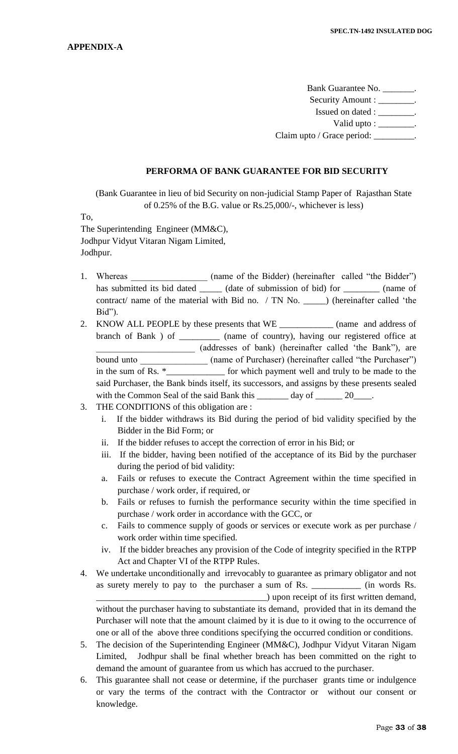Bank Guarantee No. \_\_\_\_\_\_\_. Security Amount : \_\_\_\_\_\_\_\_. Issued on dated : \_\_\_\_\_\_\_\_. Valid upto :  $\frac{\ }{\ }$ . Claim upto / Grace period: \_\_\_\_\_\_\_\_.

## **PERFORMA OF BANK GUARANTEE FOR BID SECURITY**

(Bank Guarantee in lieu of bid Security on non-judicial Stamp Paper of Rajasthan State of 0.25% of the B.G. value or Rs.25,000/-, whichever is less)

To,

The Superintending Engineer (MM&C), Jodhpur Vidyut Vitaran Nigam Limited, Jodhpur.

- 1. Whereas \_\_\_\_\_\_\_\_\_\_\_\_\_\_\_\_ (name of the Bidder) (hereinafter called "the Bidder") has submitted its bid dated \_\_\_\_\_\_ (date of submission of bid) for \_\_\_\_\_\_\_\_ (name of contract/ name of the material with Bid no. / TN No. \_\_\_\_\_) (hereinafter called "the Bid").
- 2. KNOW ALL PEOPLE by these presents that WE \_\_\_\_\_\_\_\_\_\_\_\_ (name and address of branch of Bank ) of \_\_\_\_\_\_\_\_\_ (name of country), having our registered office at \_\_\_\_\_\_\_\_\_\_\_\_\_\_\_\_\_\_\_\_\_\_ (addresses of bank) (hereinafter called "the Bank"), are bound unto \_\_\_\_\_\_\_\_\_\_\_\_\_\_\_\_\_\_\_ (name of Purchaser) (hereinafter called "the Purchaser") in the sum of Rs. \*\_\_\_\_\_\_\_\_\_\_\_\_\_\_\_ for which payment well and truly to be made to the in the sum of the sum of the sum of the sum of the sum of the sum of the sum of the sum of the made to the sum of the sum of the sum of the sum of the sum of the sum of the sum of the sum of the sum of the sum of the sum o said Purchaser, the Bank binds itself, its successors, and assigns by these presents sealed with the Common Seal of the said Bank this \_\_\_\_\_\_\_ day of \_\_\_\_\_\_ 20\_\_\_\_.
- 3. THE CONDITIONS of this obligation are :
	- i. If the bidder withdraws its Bid during the period of bid validity specified by the Bidder in the Bid Form; or
	- ii. If the bidder refuses to accept the correction of error in his Bid; or
	- iii. If the bidder, having been notified of the acceptance of its Bid by the purchaser during the period of bid validity:
	- a. Fails or refuses to execute the Contract Agreement within the time specified in purchase / work order, if required, or
	- b. Fails or refuses to furnish the performance security within the time specified in purchase / work order in accordance with the GCC, or
	- c. Fails to commence supply of goods or services or execute work as per purchase / work order within time specified.
	- iv. If the bidder breaches any provision of the Code of integrity specified in the RTPP Act and Chapter VI of the RTPP Rules.
- 4. We undertake unconditionally and irrevocably to guarantee as primary obligator and not as surety merely to pay to the purchaser a sum of Rs. \_\_\_\_\_\_\_\_\_\_\_\_ (in words Rs. \_\_\_\_\_\_\_\_\_\_\_\_\_\_\_\_\_\_\_\_\_\_\_\_\_\_\_\_\_\_\_\_\_\_\_\_\_\_) upon receipt of its first written demand, without the purchaser having to substantiate its demand, provided that in its demand the Purchaser will note that the amount claimed by it is due to it owing to the occurrence of one or all of the above three conditions specifying the occurred condition or conditions.
- 5. The decision of the Superintending Engineer (MM&C), Jodhpur Vidyut Vitaran Nigam Limited, Jodhpur shall be final whether breach has been committed on the right to demand the amount of guarantee from us which has accrued to the purchaser.
- 6. This guarantee shall not cease or determine, if the purchaser grants time or indulgence or vary the terms of the contract with the Contractor or without our consent or knowledge.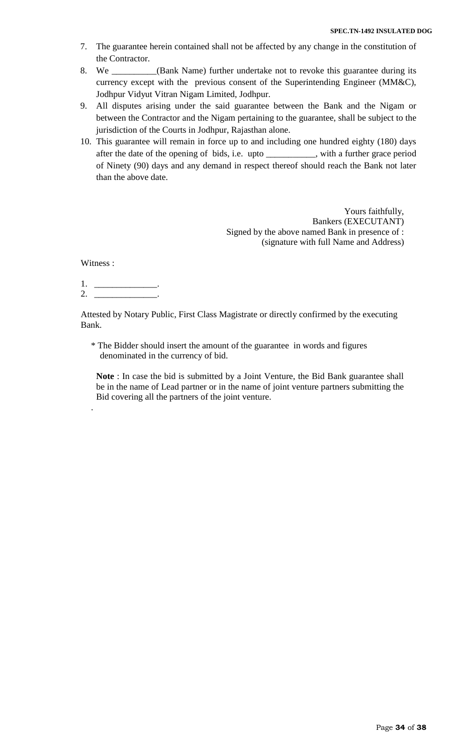- 7. The guarantee herein contained shall not be affected by any change in the constitution of the Contractor.
- 8. We \_\_\_\_\_\_\_\_\_\_(Bank Name) further undertake not to revoke this guarantee during its currency except with the previous consent of the Superintending Engineer (MM&C), Jodhpur Vidyut Vitran Nigam Limited, Jodhpur.
- 9. All disputes arising under the said guarantee between the Bank and the Nigam or between the Contractor and the Nigam pertaining to the guarantee, shall be subject to the jurisdiction of the Courts in Jodhpur, Rajasthan alone.
- 10. This guarantee will remain in force up to and including one hundred eighty (180) days after the date of the opening of bids, i.e. upto \_\_\_\_\_\_\_\_\_\_\_, with a further grace period of Ninety (90) days and any demand in respect thereof should reach the Bank not later than the above date.

Yours faithfully, Bankers (EXECUTANT) Signed by the above named Bank in presence of : (signature with full Name and Address)

Witness :

.

1. \_\_\_\_\_\_\_\_\_\_\_\_\_\_. 2. \_\_\_\_\_\_\_\_\_\_\_\_\_\_.

Attested by Notary Public, First Class Magistrate or directly confirmed by the executing Bank.

- \* The Bidder should insert the amount of the guarantee in words and figures denominated in the currency of bid.
- **Note** : In case the bid is submitted by a Joint Venture, the Bid Bank guarantee shall be in the name of Lead partner or in the name of joint venture partners submitting the Bid covering all the partners of the joint venture.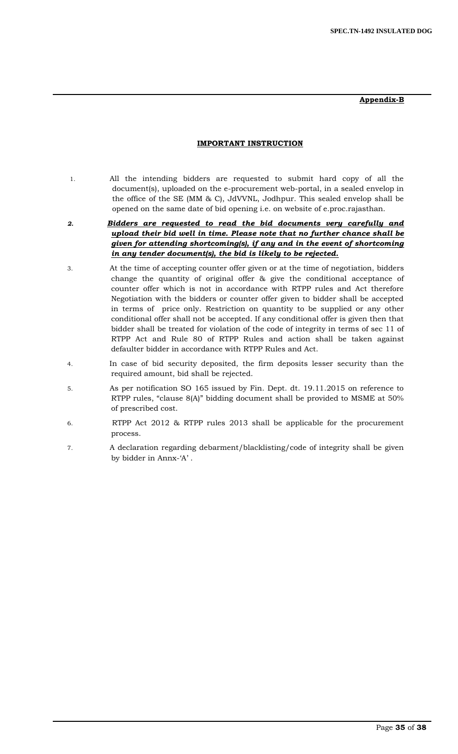**Appendix-B**

## **IMPORTANT INSTRUCTION**

- 1. All the intending bidders are requested to submit hard copy of all the document(s), uploaded on the e-procurement web-portal, in a sealed envelop in the office of the SE (MM & C), JdVVNL, Jodhpur. This sealed envelop shall be opened on the same date of bid opening i.e. on website of e.proc.rajasthan.
- *2. Bidders are requested to read the bid documents very carefully and upload their bid well in time. Please note that no further chance shall be given for attending shortcoming(s), if any and in the event of shortcoming in any tender document(s), the bid is likely to be rejected.*
- 3. At the time of accepting counter offer given or at the time of negotiation, bidders change the quantity of original offer & give the conditional acceptance of counter offer which is not in accordance with RTPP rules and Act therefore Negotiation with the bidders or counter offer given to bidder shall be accepted in terms of price only. Restriction on quantity to be supplied or any other conditional offer shall not be accepted. If any conditional offer is given then that bidder shall be treated for violation of the code of integrity in terms of sec 11 of RTPP Act and Rule 80 of RTPP Rules and action shall be taken against defaulter bidder in accordance with RTPP Rules and Act.
- 4. In case of bid security deposited, the firm deposits lesser security than the required amount, bid shall be rejected.
- 5. As per notification SO 165 issued by Fin. Dept. dt. 19.11.2015 on reference to RTPP rules, "clause 8(A)" bidding document shall be provided to MSME at 50% of prescribed cost.
- 6. RTPP Act 2012 & RTPP rules 2013 shall be applicable for the procurement process.
- 7. A declaration regarding debarment/blacklisting/code of integrity shall be given by bidder in Annx-'A'.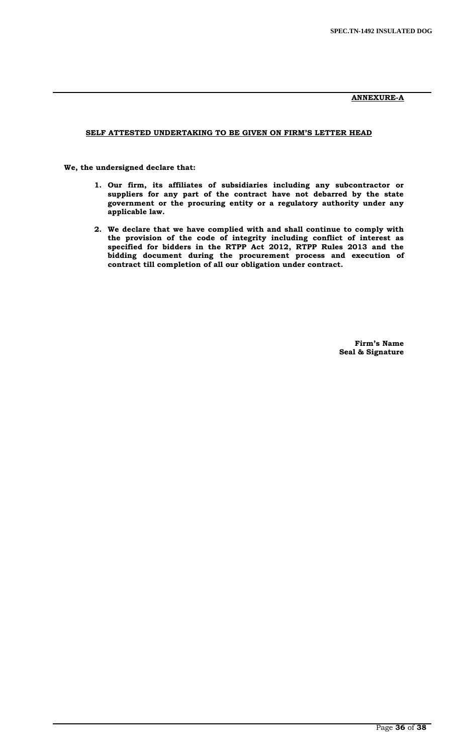## **ANNEXURE-A**

## **SELF ATTESTED UNDERTAKING TO BE GIVEN ON FIRM'S LETTER HEAD**

 **We, the undersigned declare that:**

- **1. Our firm, its affiliates of subsidiaries including any subcontractor or suppliers for any part of the contract have not debarred by the state government or the procuring entity or a regulatory authority under any applicable law.**
- **2. We declare that we have complied with and shall continue to comply with the provision of the code of integrity including conflict of interest as specified for bidders in the RTPP Act 2012, RTPP Rules 2013 and the bidding document during the procurement process and execution of contract till completion of all our obligation under contract.**

**Firm's Name Seal & Signature**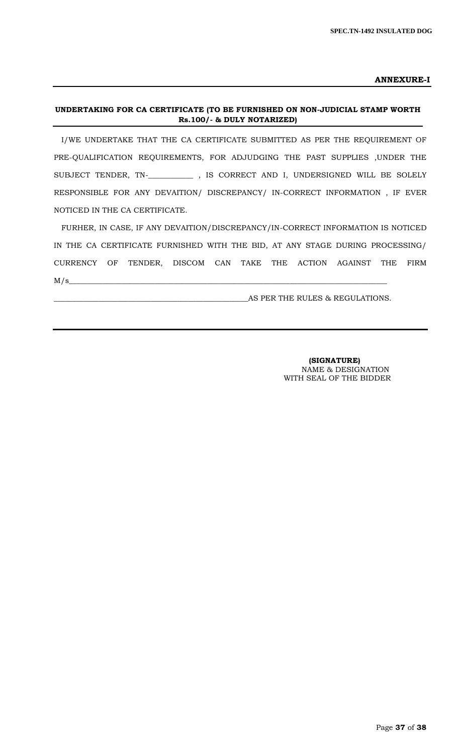**ANNEXURE-I**

# **UNDERTAKING FOR CA CERTIFICATE (TO BE FURNISHED ON NON-JUDICIAL STAMP WORTH Rs.100/- & DULY NOTARIZED)**

I/WE UNDERTAKE THAT THE CA CERTIFICATE SUBMITTED AS PER THE REQUIREMENT OF PRE-QUALIFICATION REQUIREMENTS, FOR ADJUDGING THE PAST SUPPLIES ,UNDER THE SUBJECT TENDER, TN-\_**\_\_\_\_\_\_\_\_\_\_\_** , IS CORRECT AND I, UNDERSIGNED WILL BE SOLELY RESPONSIBLE FOR ANY DEVAITION/ DISCREPANCY/ IN-CORRECT INFORMATION , IF EVER NOTICED IN THE CA CERTIFICATE.

FURHER, IN CASE, IF ANY DEVAITION/DISCREPANCY/IN-CORRECT INFORMATION IS NOTICED IN THE CA CERTIFICATE FURNISHED WITH THE BID, AT ANY STAGE DURING PROCESSING/ CURRENCY OF TENDER, DISCOM CAN TAKE THE ACTION AGAINST THE FIRM  $M/s$   $\sim$ 

\_\_\_\_\_\_\_\_\_\_\_\_\_\_\_\_\_\_\_\_\_\_\_\_\_\_\_\_\_\_\_\_\_\_\_\_\_\_\_\_\_\_\_\_\_\_\_\_\_\_\_\_AS PER THE RULES & REGULATIONS.

 **(SIGNATURE)** NAME & DESIGNATION WITH SEAL OF THE BIDDER